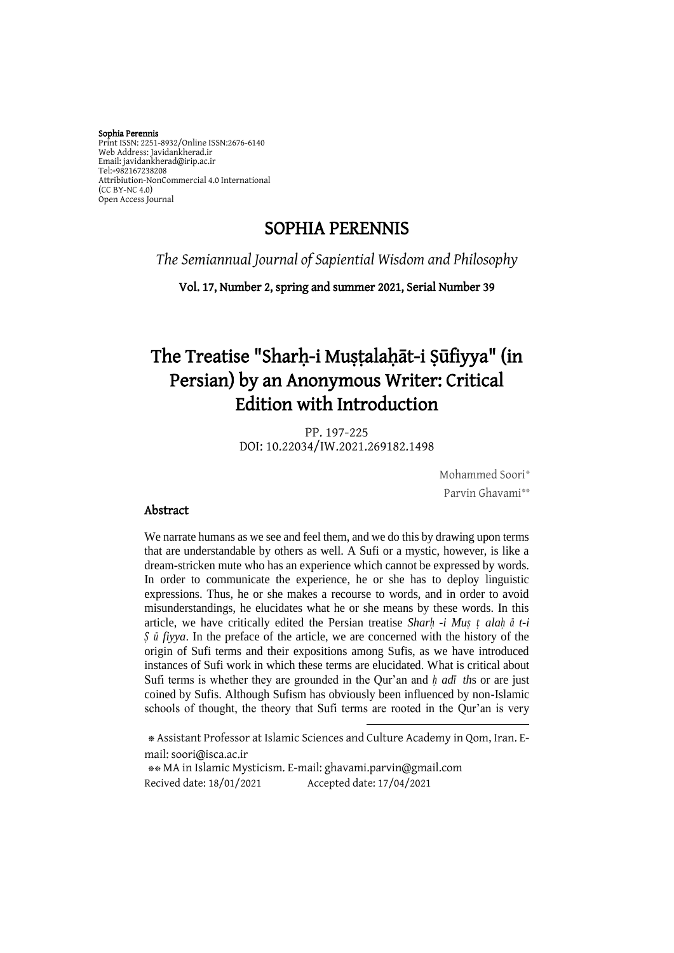Sophia Perennis Print ISSN: 2251-8932/Online ISSN:2676-6140 Web Address: Javidankherad.ir Email[: javidankherad@irip.ac.ir](mailto:javidankherad@irip.ac.ir) [Tel:+982167238208](tel:+982167238208) Attribiution-NonCommercial 4.0 International (CC BY-NC 4.0) Open Access Journal

## SOPHIA PERENNIS

*The Semiannual Journal of Sapiential Wisdom and Philosophy*

Vol. 17, Number 2, spring and summer 2021, Serial Number 39

# The Treatise "Sharḥ-i Muṣṭalaḥāt-i Ṣūfiyya" (in Persian) by an Anonymous Writer: Critical Edition with Introduction

PP. 197-225 DOI: 10.22034/IW.2021.269182.1498

> Mohammed Soori\* Parvin Ghavami\*\*

#### Abstract

We narrate humans as we see and feel them, and we do this by drawing upon terms that are understandable by others as well. A Sufi or a mystic, however, is like a dream-stricken mute who has an experience which cannot be expressed by words. In order to communicate the experience, he or she has to deploy linguistic expressions. Thus, he or she makes a recourse to words, and in order to avoid misunderstandings, he elucidates what he or she means by these words. In this article, we have critically edited the Persian treatise *Sharḥ -i Muṣ ṭ alaḥ ā t-i Ṣ ū fiyya*. In the preface of the article, we are concerned with the history of the origin of Sufi terms and their expositions among Sufis, as we have introduced instances of Sufi work in which these terms are elucidated. What is critical about Sufi terms is whether they are grounded in the Qur'an and *ḥ adī th*s or are just coined by Sufis. Although Sufism has obviously been influenced by non-Islamic schools of thought, the theory that Sufi terms are rooted in the Qur'an is very

\* Assistant Professor at Islamic Sciences and Culture Academy in Qom, Iran. Email: [soori@isca.ac.ir](mailto:soori@isca.ac.ir) \*\* MA in Islamic Mysticism. E-mail[: ghavami.parvin@gmail.com](mailto:ghavami.parvin@gmail.com) Recived date: 18/01/2021 Accepted date: 17/04/2021

**.**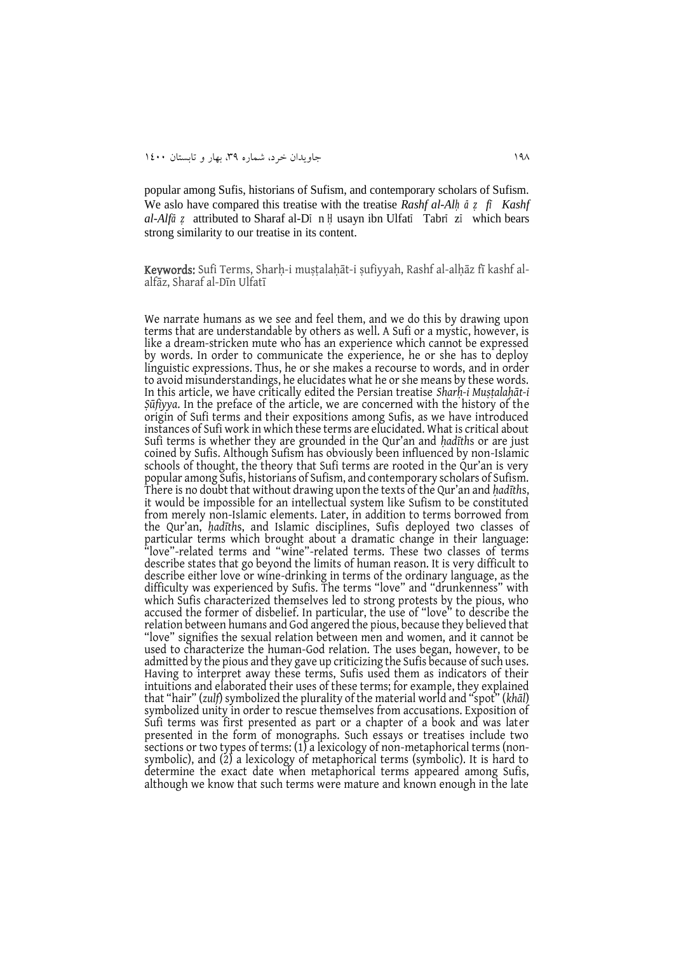popular among Sufis, historians of Sufism, and contemporary scholars of Sufism. We aslo have compared this treatise with the treatise *Rashf al-Alḥ ā ẓ fī Kashf al-Alfā ẓ* attributed to Sharaf al-D<sup>ī</sup> n <sup>Ḥ</sup> usayn ibn Ulfat<sup>ī</sup> Tabr<sup>ī</sup> z<sup>ī</sup> which bears strong similarity to our treatise in its content.

Keywords: Sufi Terms, Sharḥ-i muṣṭalaḥāt-i ṣufiyyah, Rashf al-alḥāz fī kashf alalfāz, Sharaf al-Dīn Ulfatī

We narrate humans as we see and feel them, and we do this by drawing upon terms that are understandable by others as well. A Sufi or a mystic, however, is like a dream-stricken mute who has an experience which cannot be expressed by words. In order to communicate the experience, he or she has to deploy linguistic expressions. Thus, he or she makes a recourse to words, and in order to avoid misunderstandings, he elucidates what he or she means by these words. In this article, we have critically edited the Persian treatise *Sharḥ-i Muṣṭalaḥāt-i Ṣūfiyya*. In the preface of the article, we are concerned with the history of the origin of Sufi terms and their expositions among Sufis, as we have introduced instances of Sufi work in which these terms are elucidated. What is critical about Sufi terms is whether they are grounded in the Qur'an and *ḥadīth*s or are just coined by Sufis. Although Sufism has obviously been influenced by non-Islamic schools of thought, the theory that Sufi terms are rooted in the Qur'an is very popular among Sufis, historians of Sufism, and contemporary scholars of Sufism. There is no doubt that without drawing upon the texts of the Qur'an and *ḥadīth*s, it would be impossible for an intellectual system like Sufism to be constituted from merely non-Islamic elements. Later, in addition to terms borrowed from the Qur'an, *ḥadīth*s, and Islamic disciplines, Sufis deployed two classes of particular terms which brought about a dramatic change in their language: "love"-related terms and "wine"-related terms. These two classes of terms describe states that go beyond the limits of human reason. It is very difficult to describe either love or wine-drinking in terms of the ordinary language, as the difficulty was experienced by Sufis. The terms "love" and "drunkenness" with which Sufis characterized themselves led to strong protests by the pious, who accused the former of disbelief. In particular, the use of "love" to describe the relation between humans and God angered the pious, because they believed that "love" signifies the sexual relation between men and women, and it cannot be used to characterize the human-God relation. The uses began, however, to be admitted by the pious and they gave up criticizing the Sufis because of such uses. Having to interpret away these terms, Sufis used them as indicators of their intuitions and elaborated their uses of these terms; for example, they explained that "hair" (*zulf*) symbolized the plurality of the material world and "spot" (*khāl*) symbolized unity in order to rescue themselves from accusations. Exposition of Sufi terms was first presented as part or a chapter of a book and was later presented in the form of monographs. Such essays or treatises include two sections or two types of terms: (1) a lexicology of non-metaphorical terms (nonsymbolic), and (2) a lexicology of metaphorical terms (symbolic). It is hard to determine the exact date when metaphorical terms appeared among Sufis, although we know that such terms were mature and known enough in the late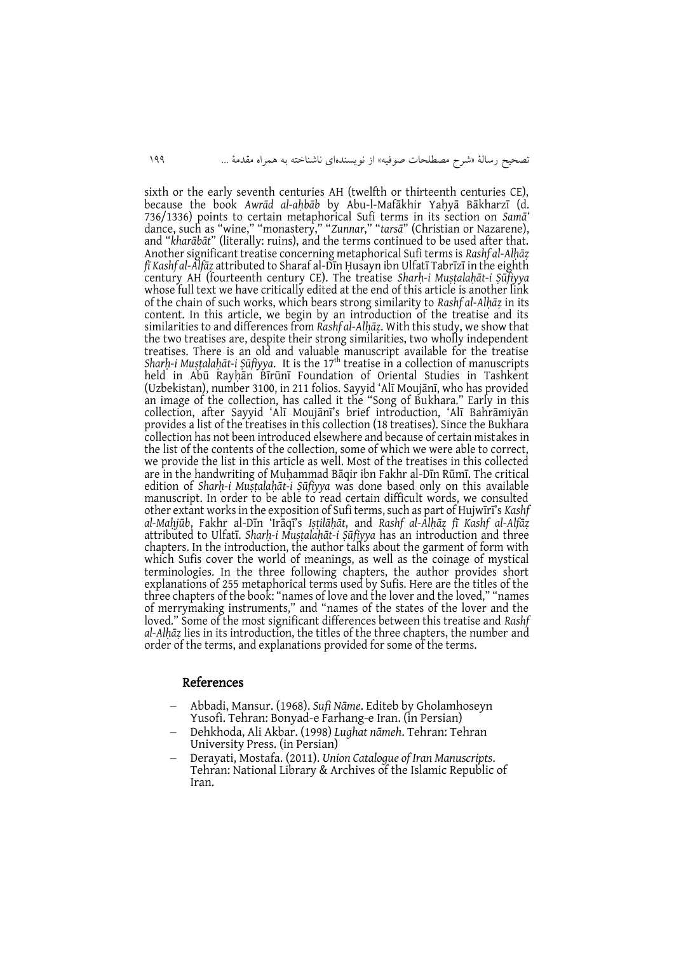sixth or the early seventh centuries AH (twelfth or thirteenth centuries CE), because the book *Awrād al-aḥbāb* by Abu-l-Mafākhir Yaḥyā Bākharzī (d. 736/1336) points to certain metaphorical Sufi terms in its section on *Samā'* dance, such as "wine," "monastery," "*Zunnar*," "*tarsā*" (Christian or Nazarene), and "*kharābāt*" (literally: ruins), and the terms continued to be used after that. Another significant treatise concerning metaphorical Sufi terms is *Rashf al-Alḥāẓ fī Kashf al-Alfāẓ* attributed to Sharaf al-Dīn Ḥusayn ibn Ulfatī Tabrīzī in the eighth century AH (fourteenth century CE). The treatise *Sharḥ-i Muṣṭalaḥāt-i Ṣūfiyya* whose full text we have critically edited at the end of this article is another link of the chain of such works, which bears strong similarity to *Rashf al-Alḥāẓ* in its content. In this article, we begin by an introduction of the treatise and its similarities to and differences from *Rashf al-Alḥāẓ*. With this study, we show that the two treatises are, despite their strong similarities, two wholly independent treatises. There is an old and valuable manuscript available for the treatise *Sharḥ-i Muṣṭalaḥāt-i Ṣūfiyya*. It is the 17th treatise in a collection of manuscripts held in Abū Rayḥān Bīrūnī Foundation of Oriental Studies in Tashkent (Uzbekistan), number 3100, in 211 folios. Sayyid 'Alī Moujānī, who has provided an image of the collection, has called it the "Song of Bukhara." Early in this collection, after Sayyid 'Alī Moujānī's brief introduction, 'Alī Bahrāmiyān provides a list of the treatises in this collection (18 treatises). Since the Bukhara collection has not been introduced elsewhere and because of certain mistakes in the list of the contents of the collection, some of which we were able to correct, we provide the list in this article as well. Most of the treatises in this collected are in the handwriting of Muḥammad Bāqir ibn Fakhr al-Dīn Rūmī. The critical edition of *Sharḥ-i Muṣṭalaḥāt-i Ṣūfiyya* was done based only on this available manuscript. In order to be able to read certain difficult words, we consulted other extant works in the exposition of Sufi terms, such as part of Hujwīrī's *Kashf al-Maḥjūb*, Fakhr al-Dīn 'Irāqī's *Iṣṭilāḥāt*, and *Rashf al-Alḥāẓ fī Kashf al-Alfāẓ* attributed to Ulfatī. *Sharḥ-i Muṣṭalaḥāt-i Ṣūfiyya* has an introduction and three chapters. In the introduction, the author talks about the garment of form with which Sufis cover the world of meanings, as well as the coinage of mystical terminologies. In the three following chapters, the author provides short explanations of 255 metaphorical terms used by Sufis. Here are the titles of the three chapters of the book: "names of love and the lover and the loved," "names of merrymaking instruments," and "names of the states of the lover and the loved." Some of the most significant differences between this treatise and *Rashf al-Alḥāẓ* lies in its introduction, the titles of the three chapters, the number and order of the terms, and explanations provided for some of the terms.

#### References

- Abbadi, Mansur. (1968). *Sufi Nāme*. Editeb by Gholamhoseyn Yusofi. Tehran: Bonyad-e Farhang-e Iran. (in Persian)
- Dehkhoda, Ali Akbar. (1998) *Lughat nāmeh*. Tehran: Tehran University Press. (in Persian)
- Derayati, Mostafa. (2011). *Union Catalogue of Iran Manuscripts*. Tehran: National Library & Archives of the Islamic Republic of Iran.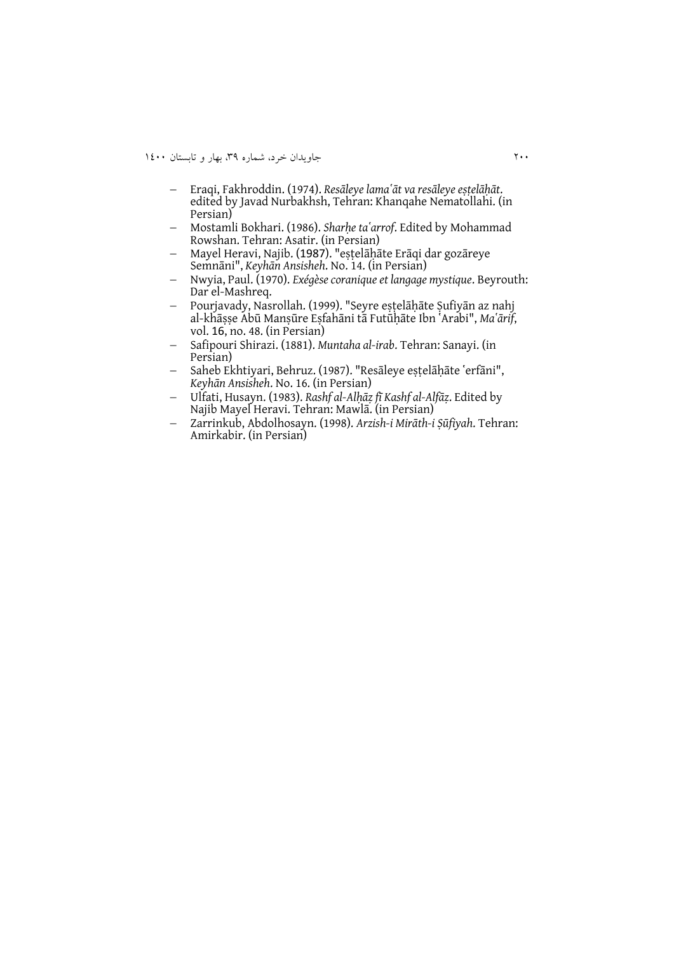- Eraqi, Fakhroddin. (1974). *Resāleye lamaʽāt va resāleye eṣṭelāḥāt*. edited by Javad Nurbakhsh, Tehran: Khanqahe Nematollahi. (in Persian)
- Mostamli Bokhari. (1986). *Sharḥe taʽarrof*. Edited by Mohammad Rowshan. Tehran: Asatir. (in Persian)
- Mayel Heravi, Najib. (7891). "eṣṭelāḥāte Erāqi dar gozāreye Semnāni", *Keyhān Ansisheh*. No. 14. (in Persian)
- Nwyia, Paul. (1970). *Exégèse coranique et langage mystique*. Beyrouth: Dar el-Mashreq.
- Pourjavady, Nasrollah. (1999). "Seyre eṣṭelāḥāte Ṣufiyān az nahj al-khāṣṣe Abū Manṣūre Eṣfahāni tā Futūḥāte Ibn ʽArabi", *Maʽārif*, vol. 16, no. 48. (in Persian)
- Safipouri Shirazi. (1881). *Muntaha al-irab*. Tehran: Sanayi. (in Persian)
- Saheb Ekhtiyari, Behruz. (1987). "Resāleye estelāḥāte 'erfāni", *Keyhān Ansisheh*. No. 16. (in Persian)
- Ulfati, Husayn. (1983). *Rashf al-Alḥāẓ fī Kashf al-Alfāẓ*. Edited by Najib Mayel Heravi. Tehran: Mawlā. (in Persian)
- Zarrinkub, Abdolhosayn. (1998). *Arzish-i Mirāth-i Ṣūfiyah*. Tehran: Amirkabir. (in Persian)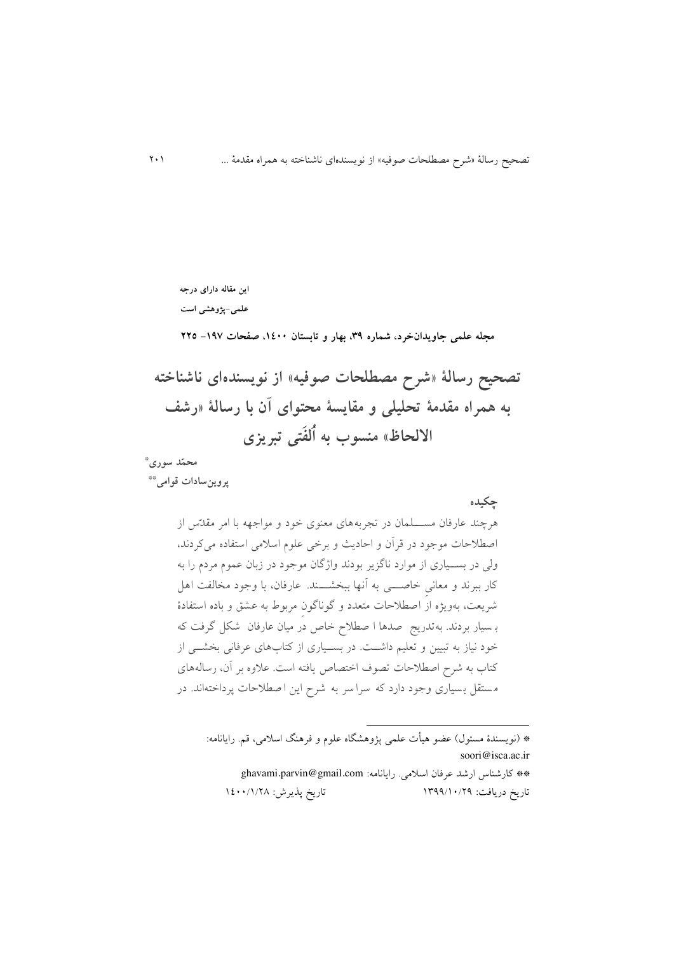**این مقاله دارای درجه علمی-پژوهشی است**

**مجله علمی جاویدانخرد، شماره ،93 بهار و تابستان ،0011 صفحات -031 222**

**تصحیح رسالۀ »شرح مصطلحات صوفیه« از نویسندهای ناشناخته به همراه مقدمۀ تحلیلی و مقایسۀ محتوای آن با رسالۀ »رشف**  الالحاظ» منسوب به اُلفَتى تبریزی

 **محم د سوری\* پروینسادات قوامی\*\***

> **چکیده** هرچند عارفان مسللللمان در تجربه های معنوی خود و مواجهه با امر مقد س از اصطالحات موجود در قرآن و احاديث و برخی علوم اسالمی استفاده می کردند، ولی در بسللیاری از موارد ناگزير بودند واژگان موجود در زبان عموم مردم را به کار ببرند و معانی خاصــــی به آنها ببخشــــند. عارفان، با وجود مخالفت اهل شريعت، بهويژه از اصطلاحات متعدد و گوناگون مربوط به عشق و باده استفادۀ ب سیار بردند. به تدريج صدها ا صطالح خاص در میان عارفان ش کل گرفت که خود نیاز به تبیین و تعلیم داشــت. در بســیاری از کتابهای عرفانی بخشــی از کتاب به شرح اصطلاحات تصوف اختصاص يافته است. علاوه بر آن، رسالههای م ستقل ب سیاری وجود دارد که سرا سر به شرح اين ا صطالحات پرداخته اند. در

\* )نويسندۀ مسئول( عضو هیأت علمی پژوه.گاه علوم و فرهنگ اسالمی، قم. رايانامه: soori@isca.ac.ir

**.** 

<sup>\*\*</sup> کارشناس ارشد عرفان اسالمی. رايانامه: [com.gmail@parvin.ghavami](mailto:ghavami.parvin@gmail.com) تاريخ دريافت: ١٣٩٩/١٠/٢٩ تاريخ پذيرش: ١٤٠٠/١/٢٨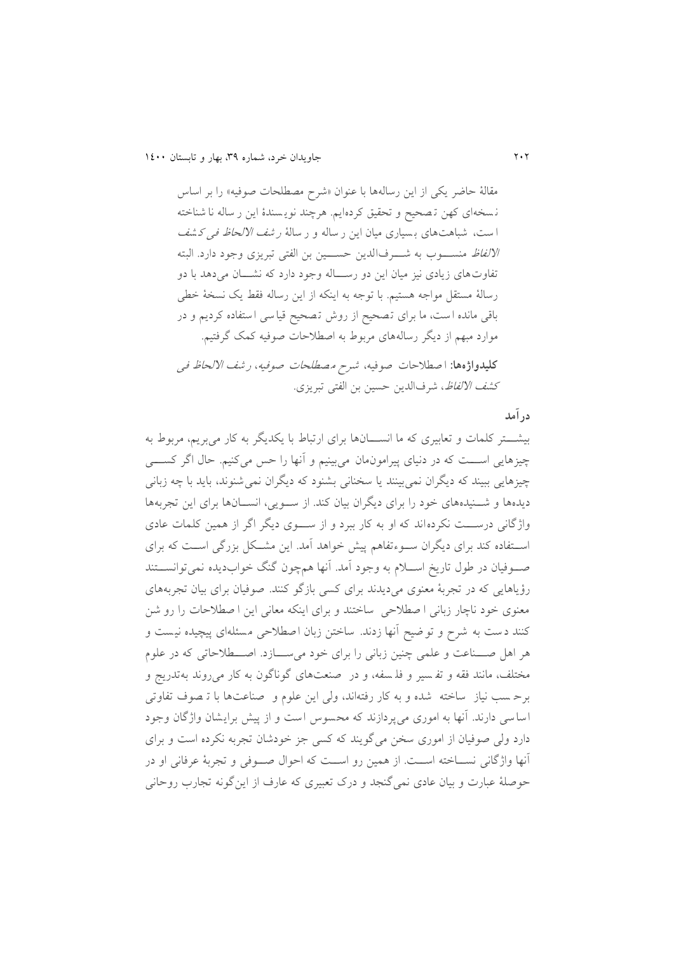مقالۀ حاضر يکی از اين رسالهها با عنوان »شرح مصطلحات صوفیه« را بر اساس ن سده ای کهن ت صحیح و تحقیق کرده ايم. هرچند نوي سندۀ اين ر ساله نا شناخته ا ست، شباهتهای بسیاری میان این ر ساله و ر سالۀ *ر شف الالحاظ فی کشف* الا*لفاظ* منسـوب به شـــرفالدين حســـين بن الفتی تبريزی وجود دارد. البته تفاوت های زيادی نيز ميان اين دو رســـاله وجود دارد که نشـــان می دهد با دو رسالۀ مستقل مواجه هستیم. با توجه به اينکه از اين رساله فقط يک نسدۀ خطی باقی مانده ا ست، ما برای ت صحیح از روش ت صحیح قیا سی ا ستفاده کرديم و در موارد مبهم از ديگر رسالههای مربوط به اصطالحات صوفیه کمک گرفتیم. **کلیدواژهها:** ا صطالحات صوفیه، شرح م صطلحات صوفیه ، <sup>ر</sup> شف االلحاظ فی ک*شف الالفاظ*، شرفالدين حسين بن الفتی تبريزی.

**درآمد**

بیشت کلمات و تعابیری که ما انســـانها برای ارتباط با یکدیگر به کار می بریم، مربوط به چیزهايی اســـت که در دنیای پیرامون،مان میبینیم و آنها را حس می کنیم. حال اگر کســــی چیزهايی ببیند که ديگران نمی بینند يا سخنانی بشنود که ديگران نمی شنوند، بايد با چه زبانی ديدهها و شــنيدههای خود را برای ديگران بيان کند. از ســويی، انســانها برای اين تجربهها واژگانی درســـت نکرده اند که او به کار ببرد و از ســـوی ديگر اگر از همين کلمات عادی استفاده کند برای ديگران سـوءتفاهم پيش خواهد آمد. اين مشـكل بزرگی اسـت که برای صـوفیان در طول تاريخ اســـلام به وجود آمد. آنها هم چون گنگ خوابدیده نمی توانســـتند رؤياهايی که در تجربۀ معنوی میديدند برای کسی بازگو کنند . صوفیان برای بیان تجرب ههای معنوی خود ناچار زبانی ا صطالحی ساختند و برای اينکه معانی اين ا صطالحات را رو شن کنند دست به شرح و تو ضیح آنها زدند. ساختن زبان اصطلاحی مسئلهای پیچیده نیست و هر اهل صــناعت و علمی چنین زبانی را برای خود می ســازد. اصـــطلاحاتی که در علوم مدتلف، مانند فقه و تف سیر و فل سفه ، و در صنعت های گوناگون به کار میروند بهتدريج و برح سب نیاز ساخته شده و به کار رفتهاند، ولی اين علوم و صناعت ها با ت صوف تفاوتی اساسی دارند. آنها به اموری میپردازند که محسوس است و از پیش برایشان واژگان وجود دارد ولی صوفیان از اموری سدن میگويند که کسی جز خودشان تجربه نکرده است و برای آنها واژگانی نسللاخته اسللت. از همین رو اسللت که احوال صللوفی و تجربۀ عرفانی او در حوصلۀ عبارت و بیان عادی نمیگنجد و درک تعبیری که عارف از اينگونه تجار روحانی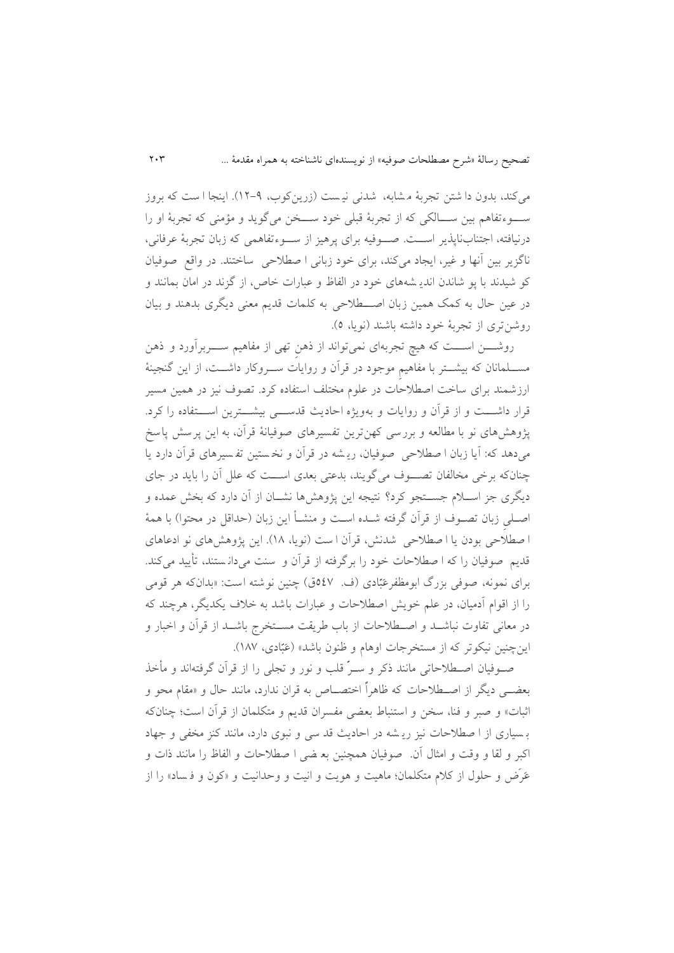میکند، بدون دا شتن تجربۀ مشابه، شدنی نیست (زرينکوب، ۹-۱۲). اينجا ا ست که بروز سـوءتفاهم بین ســـالکی که از تجربۀ قبلی خود ســـخن میگوید و مؤمنی که تجربۀ او را درنیافته، اجتنابناپذیر اســت. صــوفیه برای پرهیز از ســوءتفاهمی که زبان تجربۀ عرفانی، ناگزير بين آنها و غير، ايجاد میکند، برای خود زبانی ا صطلاحی ساختند. در واقع صوفيان کو شیدند با پو شاندن اندیـ شههای خود در الفاظ و عبارات خاص، از گزند در امان بمانند و در عین حال به کمک همین زبان اصــطلاحی به کلمات قدیم معنی دیگری بدهند و بیان روشنتری از تجربۀ خود داشته باشند (نويا، ٥).

روشـــن اســـت که هیچ تجربهای نمیتواند از ذهن تهی از مفاهیم ســـربرآورد و ذهن مســــلمانان که بیشـــتر با مفاهیم موجود در قرآن و روایات ســــروکار داشـــت، از این گنجینهٔ ارزشمند برای ساخت اصطالحات در علوم مدتلف استفاده کرد. تصوف نیز در همین مسیر قرار داشـــت و از قرآن و روايات و بهويژه احاديث قدســــى بیشـــترين اســـتفاده را کرد. پژوهش های نو با مطالعه و بررسی کهنترين تفسيرهای صوفيانۀ قرآن، به اين پرسش پاسخ میدهد که: آيا زبان ا صطلاحی صوفيان، ريشه در قرآن و نخستين تفسيرهای قرآن دارد يا چنانکه برخی مخالفان تصوف میگويند، بدعتی بعدی اســت که علل آن را بايد در جای ديگری جز اســلام جســتجو کرد؟ نتيجه اين پژوهشها نشــان از آن دارد که بخش عمده و اصلی زبان تصـوف از قرآن گرفته شـده اسـت و منشــأ اين زبان (حداقل در محتوا) با همۀ ا صطلاحی بودن يا ا صطلاحی شدنش، قرآن ا ست (نويا، ١٨). اين پژوهش های نو ادعاهای قديم صوفیان را که ا صطالحات خود را برگرفته از قرآن و سنت می دان ستند، تأيید می کند. برای نمونه، صوفی بزرگ ابومظفر عَبّادی (ف. ٥٤٧ق) چنین نوشته است: «بدانکه هر قومی را از اقوام آدمیان، در علم خويش اصطلاحات و عبارات باشد به خلاف يکديگر، هرچند که در معانی تفاوت نباشـلد و اصــطلاحات از باب طريقت مســتخرج باشــد از قرآن و اخبار و اینچنین نیکوتر که از مستخرجات اوهام و ظنون باشد» (عَبّادی، ۱۸۷).

صلوفیان اصلطالحاتی مانند ذکر و سلر قلب و نور و تجلی را از قرآن گرفتهاند و مأخذ بعضللی ديگر از اصللطالحات که ظاهرا اختصللاص به قران ندارد، مانند حال و »مقام محو و اثبات» و صبر و فنا، سخن و استنباط بعضی مفسران قديم و متکلمان از قرآن است؛ چنانکه بسیاری از ا صطلاحات نیز ریشه در احادیث قد سی و نبوی دارد، مانند کنز مخفی و جهاد اکبر و لقا و وقت و امثال آن. صوفیان همچنین بع ضی ا صطالحات و الفاظ را مانند ذات و عَرَض و حلول از کلام متکلمان؛ ماهیت و هویت و انیت و وحدانیت و «کون و فساد» را از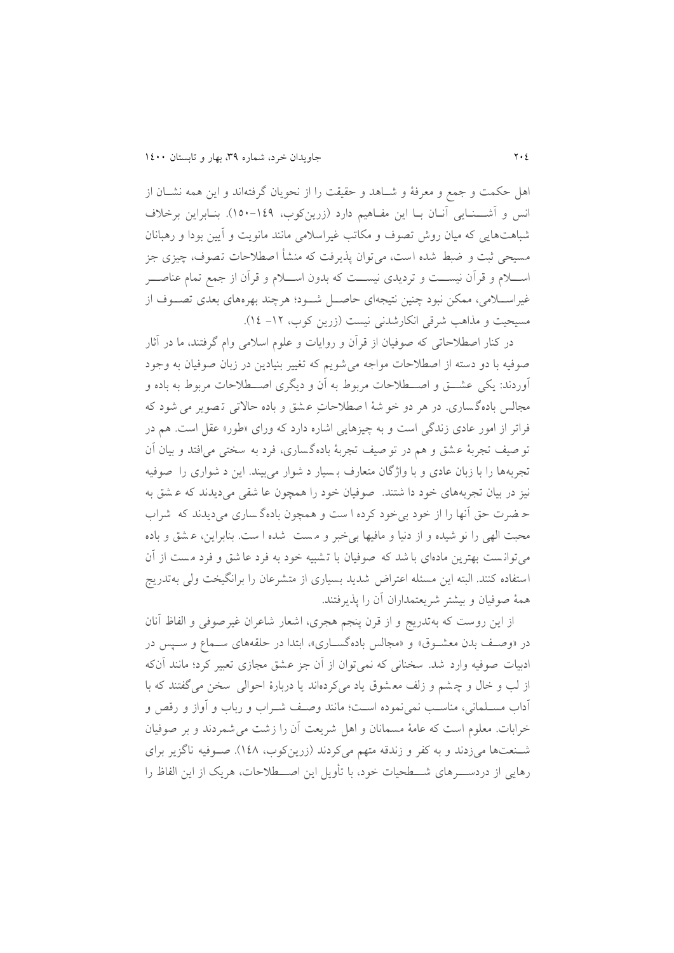اهل حکمت و جمع و معرفۀ و شــاهد و حقیقت را از نحویان گرفتهاند و این همه نشــان از انس و آشـــنـايی آنــان بــا اين مفــاهيم دارد (زرينکوب، ١٤٩-١٥٠). بنــابراين برخلاف شباهت هايی که میان روش تصوف و مکاتب غیراسالمی مانند مانويت و آيین بودا و رهبانان مسیحی ثبت و ضبط شده است، میتوان پذیرفت که منشأ اصطلاحات تصوف، چیزی جز اسللالم و قرآن نیسللت و ترديدی نیسللت که بدون اسللالم و قرآن از جمع تمام عناصللر غیراسللامی، ممکن نبود چنین نتیجهای حاصل شود؛ هرچند بهرههای بعدی تصـوف از مسیحیت و مذاهب شرقی انکارشدنی نیست (زرين کوب، ١٢- ١٤).

در کنار اصطالحاتی که صوفیان از قرآن و روايات و علوم اسالمی وام گرفتند، ما در آثار صوفیه با دو دسته از اصطالحات مواجه می شويم که تغییر بنیادين در زبان صوفیان به وجود آوردند: يکي عشــــق و اصــــطلاحات مربوط به آن و ديگری اصــــطلاحات مربوط به باده و مجالس بادهگساری. در هر دو خو شهٔ ا صطلاحات عشق و باده حالاتی تصویر می شود که فراتر از امور عادی زندگی است و به چیزهايی اشاره دارد که ورای »لور« عقل است. هم در تو صیف تجربهٔ عشق و هم در تو صیف تجربهٔ بادهگساری، فرد به سختی می افتد و بیان آن تجربهها را با زبان عادی و با واژگان متعارف ب سیار د شوار می بیند. اين د شواری را صوفی ه نیز در بیان تجربههای خود دا شتند. صوفیان خود را همچون عا شقی می دیدند که عشق به ح ضرت حق آنها را از خود بی خود کرده ا ست و همچون بادهگساری می دیدند که شراب محبت الهی را نو شیده و از دنیا و مافیها بی خبر و مست شده ا ست. بنابراین، عشق و باده میتوانست بهترين مادهای با شد که صوفيان با تشبيه خود به فرد عا شق و فرد مست از آن استفاده کنند. البته اين مسئله اعتراض شديد بسياری از متشرعان را برانگيخت ولي بهتدريج همهٔ صوفیان و بیشتر شریعتمداران آن را پذیرفتند.

از اين روست که بهتدريج و از قرن پنجم هجری، اشعار شاعران غیرصوفی و الفاظ آنان در «وصف بدن معشوق» و «مجالس بادهگساری»، ابتدا در حلقههای سـماع و سـپس در ادبیات صوفیه وارد شد. سدنانی که نمی توان از آن جز ع.ق مجازی تعبیر کرد؛ مانند آنکه از لب و خال و چشم و زلف معشوق ياد می کردهاند يا دربارۀ احوالی سخن می گفتند که با آداب مسـلمانی، مناسـب نمی نموده اسـت؛ مانند وصـف شـراب و رباب و آواز و رقص و خرابات. معلوم است که عامۀ مسمانان و اهل شريعت آن را زشت میشمرد ند و بر صوفیان شـنعتها میزدند و به کفر و زندقه متهم میکردند (زرينکوب، ١٤٨). صـوفيه ناگزير برای رهايی از دردســــرهای شـــــطحیات خود، با تأويل اين اصـــــطلاحات، هريک از اين الفاظ را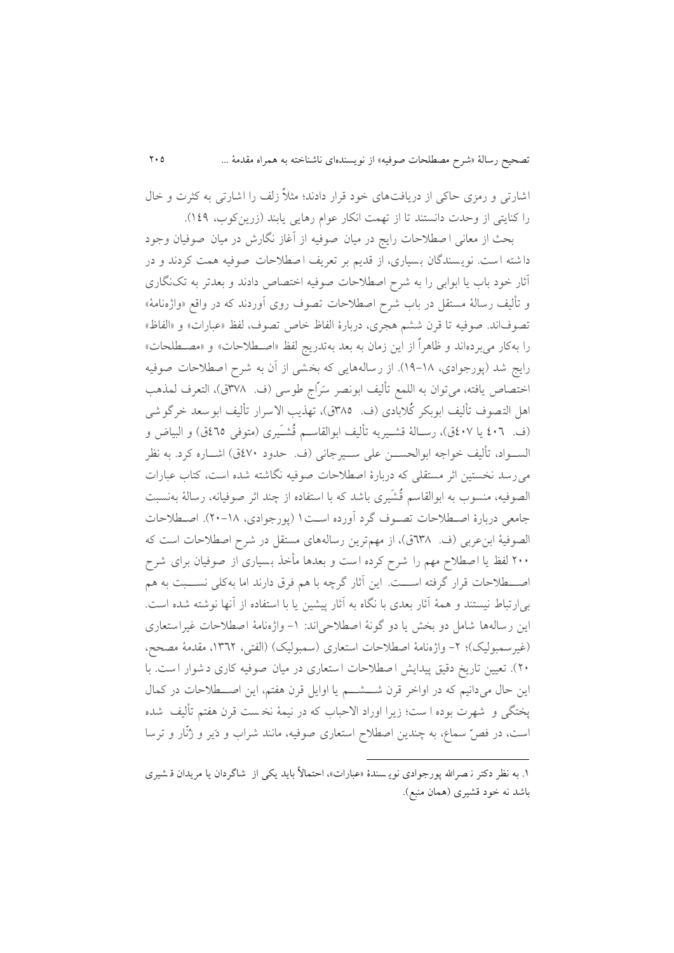اشارتی و رمزی حاکی از دريافت های خود قرار دادند؛ مثال زلف را اشارتی به کثرت و خال را کنايتی از وحدت دانستند تا از تهمت انکار عوام رهايی يابند (زرينکوب، ١٤٩).

بحث از معانی ا صطالحات رايج در میان صوف یه از آغاز نگارش در میان صوفیان وجود دا شته است. نويسندگان بسيارى، از قديم بر تعريف ا صطلاحات صوفيه همت كردند و در آثار خود باب یا ابوابی را به شرح اصطلاحات صوفیه اختصاص دادند و بعدتر به تکنگاری و تألیف رسالۀ مستقل در باب شرح اصطلاحات تصوف روی آوردند که در واقع «واژهنامۀ» تصوف اند. صوفیه تا قرن ششم هجری، دربارۀ الفاظ خاص تصوف، لفظ «عبارات» و «الفاظ» را بهکار میبرده اند و ظاهرا از اين زمان به بعد بهتدريج لفظ »اصلطالحات« و »مصلطلحات« رايج شد (پورجوادی، ۱۸-۱۹). از رسالههايی که بخشی از آن به شرح اصطلاحات صوفیه اختصاص يافته، می توان به اللمع تألیف ابونصر سَرّاج طوسی (ف. ٣٧٨ق)، التعرف لمذهب اهل التصوف تألیف ابوبکر کُلابادی (ف. ١٣٨٥ق)، تهذيب الاسرار تألیف ابوسعد خرگوشى (ف. ٤٠٦ يا ٤٠٧ق)، رســالۀ قشــيريه تأليف ابوالقاســم قُشـَـيرى (متوفى ٤٦٥ق) و البياض و السـواد، تألیف خواجه ابوالحســن علی ســیرجانی (ف. حدود ٤٧٠ق) اشــاره کرد. به نظر می رسد نخستین اثر مستقلی که دربارۀ اصطلاحات صوفیه نگاشته شده است، کتاب عبارات الصوفیه، منسوب به ابوالقاسم قُشَیری باشد که با استفاده از چند اثر صوفیانه، رسالۀ بهنسبت جامعی دربارۀ اصطلاحات تصوف گرد آورده است ۱ (پورجوادی، ۱۸-۲۰). اصطلاحات الصوفیۀ ابن عربی (ف. ٦٣٨ق)، از مهمترين رسالههای مستقل در شرح اصطلاحات است که 011 لفظ يا اصطالح مهم را شرح کرده است و بعدها مأخذ بسیاری از صو فیان برای شرح اصلطلاحات قرار گرفته اســـت. اين آثار گرچه با هم فرق دارند اما بهکلی نســـبت به هم بی ارتباط نیستند و همۀ آثار بعدی با نگاه به آثار پیشین یا با استفاده از آنها نوشته شده است. اين رسالهها شامل دو بخش يا دو گونۀ اصطلاحی اند: ١- واژهنامۀ اصطلاحات غیراستعاری (غیرسمبولیک)؛ ۲- واژهنامۀ اصطلاحات استعاری (سمبولیک) (الفتی، ۱۳٦۲، مقدمۀ مصحح، ۲۰). تعیین تاریخ دقیق پیدایش ا صطلاحات ا ستعاری در میان صوفیه کاری د شوار ا ست. با اين حال میدانیم که در اواخر قرن شــــشــــم يا اوايل قرن هفتم، اين اصــــطلاحات در کمال پدتگی و شهرت بوده ا ست؛ زيرا اوراد االحبا که در نیمۀ ند ست قرن هفتم تألیف شده است، در فصّ سماع، به چندين اصطلاح استعاری صوفیه، مانند شراب و دَير و زُنّار و ترسا

1

۱. به نظر دکتر نـصرالله پورجوادی نويـسندۀ «عبارات»، احتمالاً بايد يکی از شاگردان يا مريدان قـشيري باشد نه خود قشیری (همان منبع).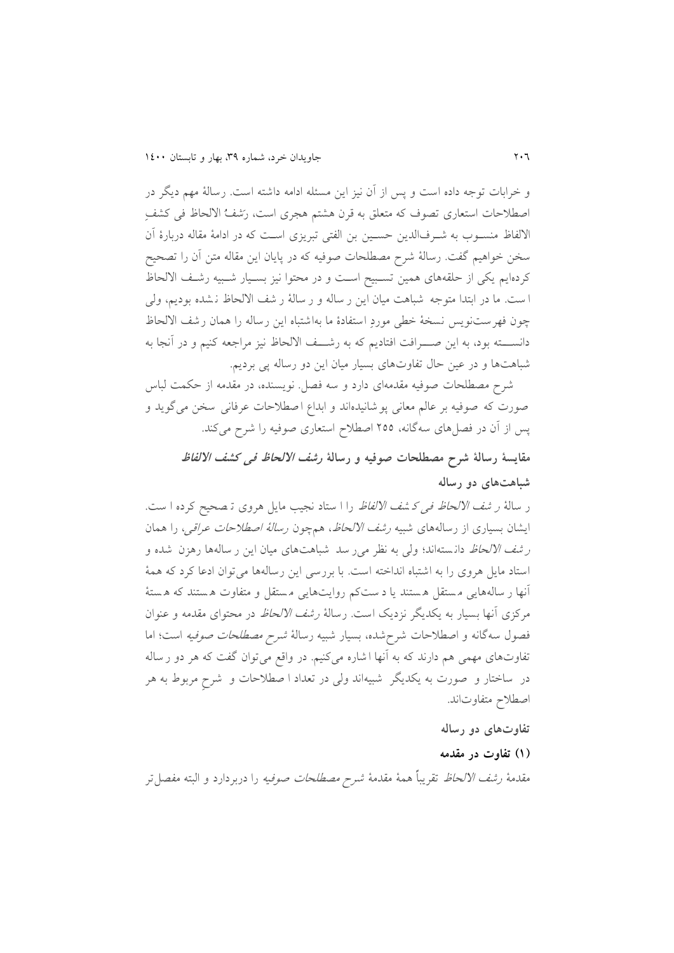و خرابات توجه داده است و پس از آن نیز اين مس ئله ادامه داشته است. رسالۀ مهم ديگر در اصطلاحات استعاری تصوف که متعلق به قرن هشتم هجری است، رَشفُ الالحاظ فی کشفِ االلفاظ منسلو به شلرفالدين حسلین بن الفتی تبريزی اسلت که در ادامۀ مقاله دربارۀ آن سدن خواهیم گفت. رسالۀ شرح مصطلحات صوفیه که در پايان اين مقاله متن آن را تصحیح کردهايم يکی از حلقههای همین تسلبیح اسلت و در محتوا نیز بسلیار شلبیه رشلف االلحاظ ا ست. ما در ابتدا متوجه شباهت میان اين ر ساله و ر سالۀ ر شف االلحاظ ن .ده بوديم، ولی چون فهرست نويس نسدۀ خطی مورد استفادۀ ما بهاشتباه اين رساله را همان رشف االلحاظ دانســـته بود، به اين صـــرافت افتاديم که به رشـــف الالحاظ نيز مراجعه کنيم و در آنجا به شباهتها و در عین حال تفاوتهای بسیار میان این دو رساله پی بردیم.

شرح مصطلحات صوفیه مقدمهای دارد و سه فصل. نويسنده، در مقدمه از حکمت لباس صورت که صوفیه بر عالم معانی پو شانیدهاند و ابداع ا صطلاحات عرفانی سخن میگوید و پس از آن در فصلهای سهگانه، 055 اصطالح استعاری صوفیه را شرح میکند.

**مقایسۀ رسالۀ شرح مصطلحات صوفیه و رسالۀ رشف االلحاظ فی کشف االلفاظ شباهتهای دو رساله**

ر سالۀ *ر شف الالحاظ فی کشف الالفاظ* را ا ستاد نجیب مایل هروی تـ صحیح کرده ا ست. ايشان بسياري از رسالههاي شبيه *رشف الالحاظ*، همچون *رسالۀ اصطلاحات عراقي،* را همان ر *شف الالحاظ* دانسته اند؛ ولی به نظر می رسد شباهتهای میان این ر سالهها رهزن شده و استاد مايل هروی را به اشتباه انداخته است. با بررسی اين رسا لهها میتوان ادعا کرد که همۀ آنها ر ساله هايی م ستقل ه ستند يا د ست کم روايتهايی م ستقل و متفاوت ه ستند که ه ستۀ مرکزی آنها بسیار به يکديگر نزديک است. رسالۀ *رشف الالحاظ* در محتوای مقدمه و عنوان فصول سه گانه و اصطلاحات شرح شده، بسیار شبیه رسالهٔ *شرح مصطلحات صوفیه* است؛ اما تفاوتهای مهمی هم دارند که به آنها ا شاره می کنیم. در واقع میتوان گفت که هر دو ر ساله در ساختار و صورت به يکديگر شبیه اند ولی در تعداد ا صطالحات و شرح مربوط به هر اصطالح متفاوتاند.

**تفاوتهای دو رساله**

#### **)0( تفاوت در مقدمه**

مقدمۀ *رشف الالحاظ* تقريباً همۀ مقدمۀ *شرح مصطلحات صوفيه* را دربردارد و البته مفصل تر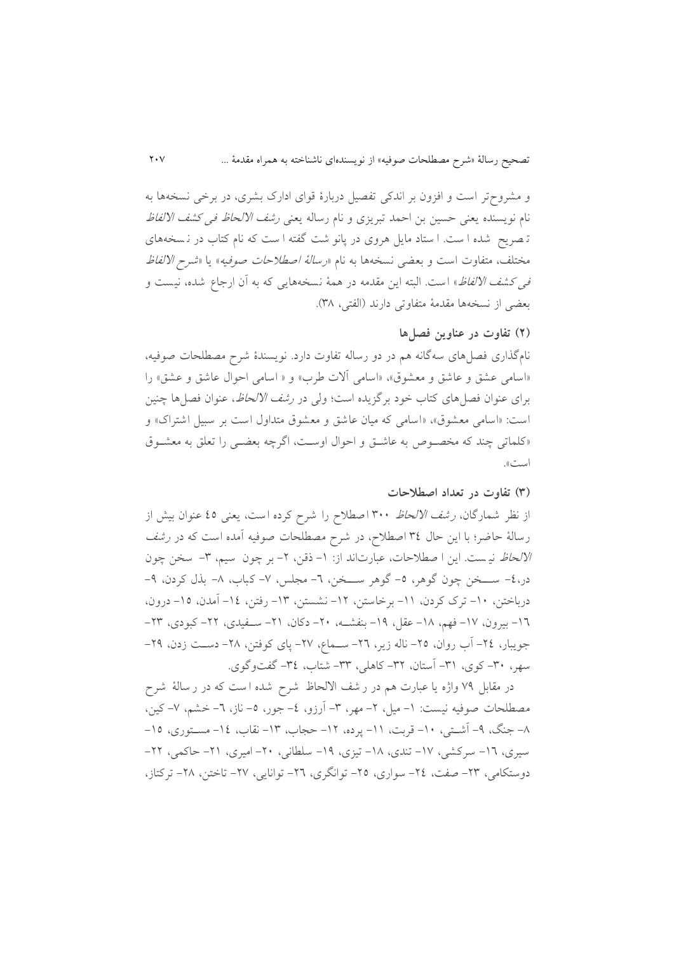و مشروح تر است و افزون بر اندکی تفصیل دربارۀ قوای ادارک بشری، در برخی نسخهها به نام نویسنده یعنی حسین بن احمد تبریزی و نام رساله یعنی *رشف الالحاظ فی کشف الالفاظ* ته صريح شده است. استاد مايل هروی در پانو شت گفته است که نام کتاب در نسخههای مختلف، متفاوت است و بعضی نسخهها به نام «ر*سالهٔ اصطلاحات صوفیه*» یا «*شرح الالفاظ* ف*ی کشف الالفاظ*» است. البته این مقدمه در همۀ نسخههایی که به آن ارجاع شده، نیست و بعضی از نسدهها مقدمۀ متفاوتی دارند )الفتی، 91(.

### **)2( تفاوت در عناوین فصلها**

نامگذاری فصل های سه گانه هم در دو رساله تفاوت دارد. نویسندۀ شرح مصطلحات صوفیه، «اسامی عشق و عاشق و معشوق»، «اسامی آلات طرب» و « اسامی احوال عاشق و عشق» را برای عنوان فصل های کتاب خود برگزیده است؛ ولی در *رشف الالحاظ*، عنوان فصل ها چنین است: «اسامی معشوق»، «اسامی که میان عاشق و معشوق متداول است بر سبیل اشتراک» و «کلماتی چند که مخصوص به عاشق و احوال اوست، اگرچه بعضی را تعلق به معشوق است«.

#### **)9( تفاوت در تعداد اصطالحات**

از نظر شمارگان، *رشف الالحاظ* ۳۰۰ اصطلاح را شرح کرده است، يعنی ٤٥ عنوان بيش از رسالۀ حاضر؛ با این حال ٣٤ اصطلاح، در شرح مصطلحات صوفیه آمده است که در *رشف* الا*لحاظ* نیست. این ا صطلاحات، عبارت اند از: ١- ذقن، ٢- بر چون سیم، ٣- سخن چون در،٤- ســخن چون گوهر، ٥- گوهر ســخن، ٦- مجلس، ٧- کباب، ٨- بذل کردن، ٩-درباختن، ۱۰- ترک کردن، ۱۱- برخاستن، ۱۲- نشستن، ۱۳- رفتن، ۱٤- آمدن، ۱۵- درون، 1٦– بیرون، ١٧– فهم، ١٨– عقل، ١٩– بنفشــه، ٢٠– دکان، ٢١– ســفیدی، ٢٢– کبودی، ٢٣– جویبار، ٢٤- آب روان، ٢٥- ناله زير، ٢٦- ســماع، ٢٧- پای کوفتن، ٢٨- دسـت زدن، ٢٩-سهر، ۳۰- کوی، ۳۱- آستان، ۳۲- کاهلی، ۳۳- شتاب، ۳٤- گفتوگوی.

در مقابل 59 واژه يا عبارت هم در ر شف االلحاظ شرح شده ا ست که در ر سالۀ شرح مصطلحات صوفیه نیست: ۱- میل، ۲- مهر، ۳- آرزو، ٤- جور، ٥- ناز، ٦- خشم، ۷- کین، ۸– جنگ، ۹– آشـتی، ۱۰– قربت، ۱۱– پرده، ۱۲– حجاب، ۱۳– نقاب، ۱۶– مسـتوری، ۱۵– سیری، ١٦- سرکشی، ١٧- تندی، ١٨- تیزی، ١٩- سلطانی، ٢٠- امیری، ٢١- حاکمی، ٢٢-دوستکامی، ۲۳- صفت، ۲٤- سواری، ۲۵- توانگری، ۲۲- توانایی، ۲۷- تاختن، ۲۸- ترکتاز،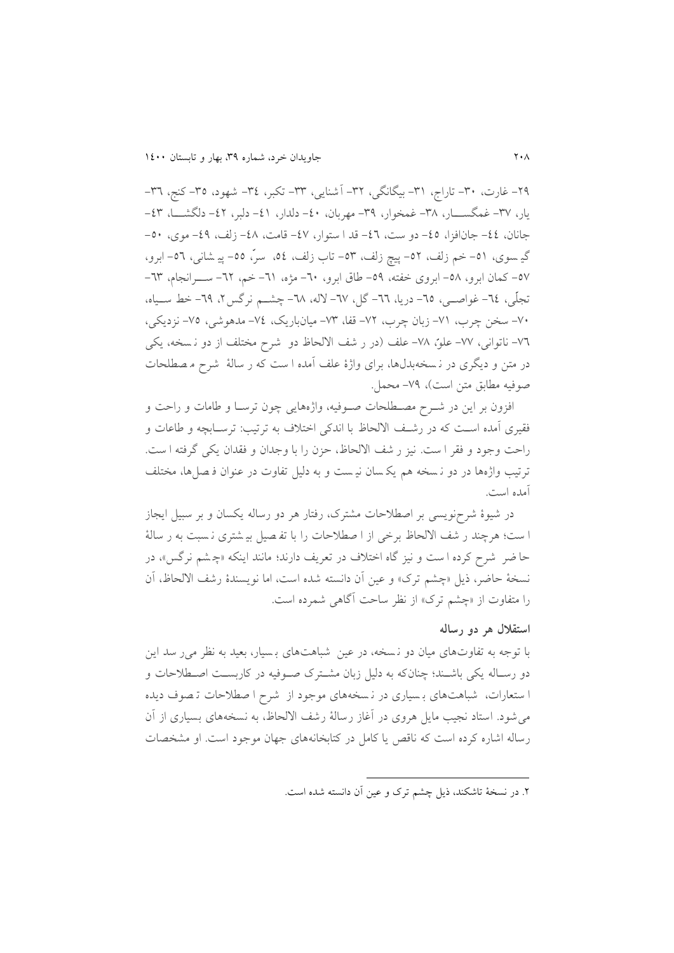۲۹– غارت، ۳۰– تاراج، ۳۱– بیگانگی، ۳۲– آشنایی، ۳۳– تکبر، ۳٤– شهود، ۳۵–کنج، ۳۳– يار، ٣٧- غمگســــــار، ٣٨- غمخوار، ٣٩- مهربان، ٤٠- دلدار، ٤١- دلبر، ٤٢- دلگشـــــا، ٤٣-جانان، ٤٤- جانافزا، ٤٥- دو ست، ٤٦- قد ا ستوار، ٤٧- قامت، ٤٨- زلف، ٤٩- موي، ٥٠-گیے سوی، ٥١– خم زلف، ٥٢– پیچ زلف، ٥٣– تاب زلف، ٥٤، سرّ، ٥٥– پیے شانی، ٥٦– ابرو، 07 – کمان ابرو، ٥٨- ابروی خفته، ٥٩- طاق ابرو، ٦٠- مژه، ٦١- خم، ٦٢- ســـرانجام، ٦٣-تجلّی، ٦٤- غواصــی، ٦٥- دریا، ٦٦- گل، ٦٧- لاله، ٦٨- چشــم نرگس۲، ٦٩- خط ســياه، -51 سدن چر ، -58 زبان چر ، -50 قفا، -59 میانباريک، -50 مدهوشی، -55 نزديکی، ٧٦- ناتوانی، ٧٧- علو، ٧٨- علف (در ر شف الالحاظ دو شرح مختلف از دو ن سخه، يكي در متن و ديگری در نسخهبدلها، برای واژۀ علف آمده ا ست که ر سالۀ شرح م صطلحات صوفیه مطابق متن است)، ۷۹- محمل.

افزون بر اين در شـرح مصـطلحات صـوفيه، واژههايی چون ترسـا و طامات و راحت و فقیری آمده اسلت که در رشلف االلحاظ با اندکی اختالف به ترتیب: ترسلابچه و لاعات و راحت وجود و فقر ا ست . نیز ر شف االلحاظ، حزن را با وجدان و فقدان يکی گرفته ا ست . ترتیب واژهها در دو ن سده هم يک سان نی ست و به دلیل تفاوت در عنوان ف صل ها، مدتلف آمده است.

در شیوۀ شرحزویسی بر اصطلاحات مشترک، رفتار هر دو رساله یکسان و بر سبیل ایجاز ا ست؛ هرچند ر شف الالحاظ برخی از ا صطلاحات را با تف صیل بی شتری نـسبت به ر سالۀ حا ضر شرح کرده ا ست و نيز گاه اختلاف در تعريف دارند؛ مانند اينکه «چشم نرگس»، در نسخۀ حاضر، ذيل «چشم ترک» و عين آن دانسته شده است، اما نويسندۀ رشف الالحاظ، آن را متفاوت از »چ.م ترک« از نظر ساحت آگاهی شمرده است.

#### **استقالل هر دو رساله**

با توجه به تفاوتهای میان دو نسخه، در عین شباهتهای بسیار، بعید به نظر می رسد این دو رسـاله يکي باشــند؛ چنانکه به دليل زبان مشــترک صــوفيه در کاربســت اصــطلاحات و ا ستعارات، شباهت های ب سیاری در ن سده های موجود از شرح ا صطالحات ت صوف ديده میشود. استاد نجیب مايل هروی در آغاز رسالۀ رشف االلحاظ ، به نسده های بسیاری از آن رساله اشاره کرده است که ناقص يا کامل در کتابخانههای جهان موجود است. او مشخصات

1

<sup>.0</sup> در نسدۀ تاشکند، ذيل چ.م ترک و عین آن دانسته شده است.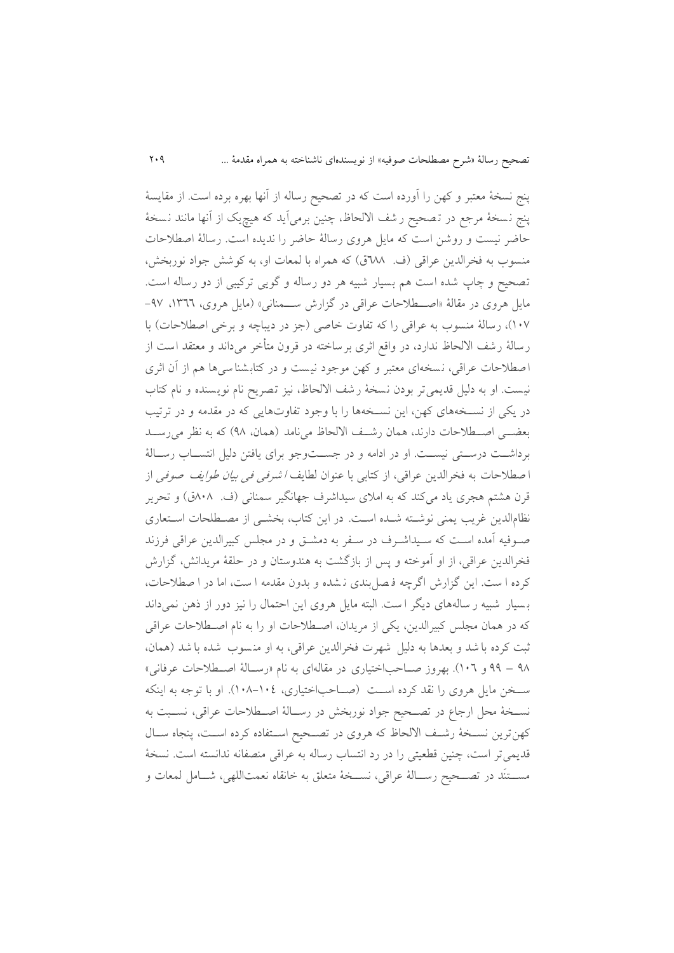پنج نسدۀ معتبر و کهن را آورده است که در تصحیح رساله از آنها بهره برده است. از مقايسۀ پنج نسخهٔ مرجع در تـصحیح ر شف الالحاظ، چنین برمیآید که هیچیک از آنها مانند نـسخهٔ حاضر نیست و روشن است که مايل هروی رسالۀ حاضر را نديده است . رسالۀ اصطالحات منسوب به فخرالدين عراقی (ف. ٦٨٨ق) که همراه با لمعات او، به کوشش جواد نوربخش، تصحیح و چاپ شده است هم بسیار شبیه هر دو رساله و گويی ترکیبی از دو رساله است. مايل هروی در مقالۀ «اصطلاحات عراقی در گزارش ســمنانی» (مايل هروی، ١٣٦٦، ٩٧-١٠٧)، رسالۀ منسوب به عراقی را که تفاوت خاصی (جز در ديباچه و برخی اصطلاحات) با رسالۀ رشف االلحاظ ندارد، در واقع اثری برساخته در قرون متأخر می داند و معتقد است از ا صطلاحات عراقی، نسخهای معتبر و کهن موجود نیست و در کتابشنا سیها هم از آن اثری نیست. او به دلیل قديمی تر بودن نسخۀ رشف الالحاظ، نیز تصریح نام نویسنده و نام کتاب در يکی از نســخههای کهن، اين نســخهها را با وجود تفاوتهايی که در مقدمه و در ترتيب بعضهی اصطلاحات دارند، همان رشف الالحاظ می نامد (همان، ۹۸) که به نظر می رسـد برداشـت درسـتی نیسـت. او در ادامه و در جسـتوجو برای یافتن دلیل انتسـاب رسـالۀ ا صطلاحات به فخرالدين عراقی، از کتابی با عنوان لطايف *ا شرفی فی بيان طوايف صوفی* از قرن هشتم هجری ياد میکند که به املای سیداشرف جهانگیر سمنانی (ف. ۸۰۸ق) و تحرير نظامالدين غريب يمني نوشته شـده اسـت. در اين کتاب، بخشـي از مصـطلحات اسـتعاری صلوفیه آمده است که سلیداشرف در سلفر به دمشتی و در مجلس کبیرالدین عراقی فرزند فخرالدين عراقی، از او آموخته و پس از بازگشت به هندوستان و در حلقۀ مريدانش، گزارش کرده ا ست. اين گزارش اگرچه ف صل بندی ن .ده و بدون مقدمه ا ست، اما در ا صطالحات، ب سیار شبیه ر ساله های ديگر ا ست. البته مايل هروی اين احتمال را نیز دور از ذهن نمیداند که در همان مجلس کبیرالدين، يکی از مريدان، اصلطالحات او را به نام اصلطالحات عراقی ثبت کرده با شد و بعدها به دلیل شهرت فخرالدین عراقی، به او منسوب شده با شد (همان، ۹۸ – ۹۹ و ۱۰۲). بهروز صــاحباختیاری در مقالهای به نام «رســالۀ اصـــطلاحات عرفانی» سللدن مايل هروی را نقد کرده اسللت )صللاحباختیاری، 811-810(. او با توجه به اينکه نسـخۀ محل ارجاع در تصــحیح جواد نوربخش در رســالۀ اصــطلاحات عراقی، نســبت به کهن ترين نسـخهٔ رشـف الالحاظ که هروی در تصـحیح اسـتفاده کرده اسـت، پنجاه سـال قديمیتر است، چنین قطعیتی را در رد انتساب رساله به عراقی منصفانه ندانسته است. نسخهٔ مســـتنَد در تصـــحیح رســـالۀ عراقی، نســـخۀ متعلق به خانقاه نعمتاللهی، شـــامل لمعات و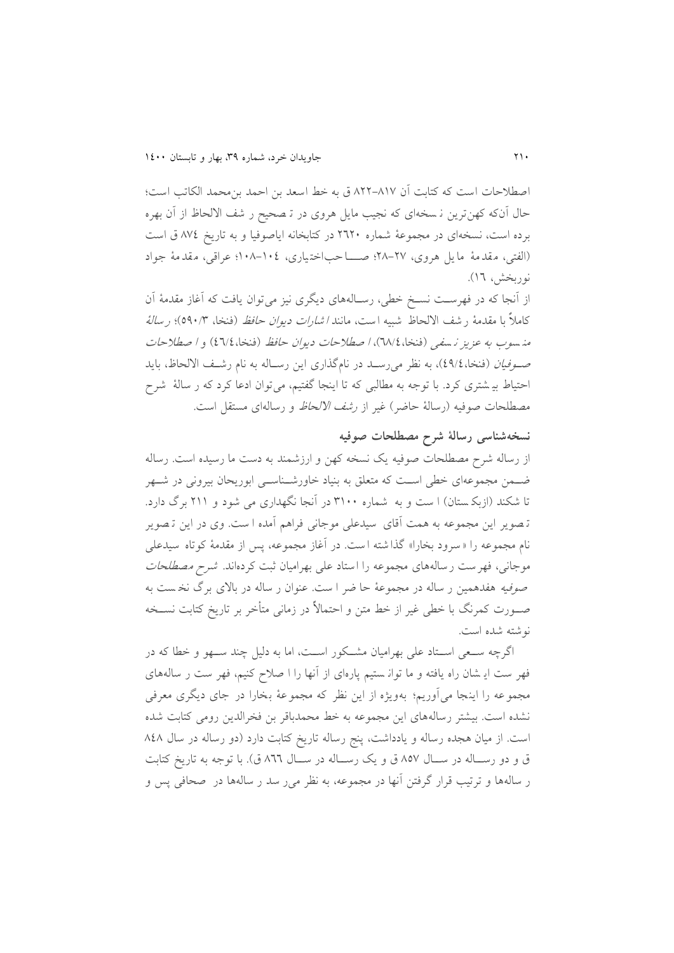اصطالحات است که کتابت آن 100-185 ق به خط اسعد بن احمد بنمحمد الکاتب است ؛ حال آنکه کهنترين ن سده ای که نجیب مايل هروی در ت صحیح ر شف االلحاظ از آن بهره برده است، نسخهای در مجموعۀ شماره ٢٦٢٠ در کتابخانه اياصوفيا و به تاريخ ٨٧٤ ق است )الفتی، م قد مۀ ما يل هروی، 01-05؛ صلللا حب اخت یاری، 811-810؛ عراقی، م قد مۀ جواد نوربخش، ١٦).

از آنجا که در فهرسلت نسلخ خطی، رسلالههای ديگری نیز میتوان يافت که آغاز مقدمۀ آن کاملاً با مقدمۀ ر شف الالحاظ شبیه است، مانند *ا شارات دیوان حافظ* (فنخا، ٥٩٠/٣)؛ *ر سالۀ* منه سوب به عزيز نه سفي (فنخا، ١٨/٤)، ا صطلاحات ديوان حافظ (فنخا، ٤٦/٤) و ا صطلاحات ص*ـوفيان* (فنخا، ٤٩/٤)، به نظر می رسـد در نامگذاری اين رسـاله به نام رشـف الالحاظ، بايد احتیاط بی شتری کرد. با توجه به مطالبی که تا اینجا گفتیم، می توان ادعا کرد که ر سالۀ شرح مصطلحات صوفیه (رسالۀ حاضر) غیر از *رشف الالحاظ* و رسالهای مستقل است.

#### **نسخهشناسی رسالۀ شرح مصطلحات صوفیه**

از رساله شرح مصطلحات صوفیه يک نسده کهن و ارزشمند به دست ما رسیده است. رساله ضل مجموعهای خطی است که متعلق به بنیاد خاورشـناســی ابوریحان بیرونی در شــهر تا شکند (ازبک ستان) ا ست و به شماره ۳۱۰۰ در آنجا نگهداری می شود و ۲۱۱ برگ دارد. ت صوير اين مجموعه به همت آقای سیدعلی موجانی فراهم آمده ا ست . وی در اين ت صوير نام مجموعه را » سرود بدارا « گذا شته ا ست. در آغاز مجموعه، پس از مقدمۀ کوتاه سیدعلی موجانی، فهرست رسالههای مجموعه را استاد علی بهرامیان ثبت کردهاند. *شرح مصطلحات* صوفیه هفدهمین ر ساله در مجموعۀ حا ضر ا ست. عنوان ر ساله در باالی برگ ند ست به صللورت کمرنگ با خطی غیر از خط متن و احتماال در زمانی متأخر بر تاريخ کتابت نسللده نوشته شده است.

اگرچه سـعی اسـتاد علی بهرامیان مشـکور اسـت، اما به دلیل چند سـهو و خطا که در فهر ست ايـ شان راه يافته و ما توانـ ستيم پارهای از آنها را ا صلاح کنيم، فهر ست ر سالههای مجموعه را اينجا می آوريم؛ به ويژه از اين نظر که مجموعۀ بدارا در جای ديگری معرفی نشده است. بیشتر رسالههای اين مجموعه به خط محمدباقر بن فخرالدين رومی کتابت شده است. از میان هجده رساله و يادداشت، پنج رساله تاريخ كتابت دارد (دو رساله در سال ٨٤٨ ق و دو رسـاله در سـال ۸۵۷ ق و يک رسـاله در سـال ۸٦٦ ق). با توجه به تاريخ کتابت ر ساله ها و ترتیب قرار گرفتن آنها در مجموعه، به نظر میر سد ر ساله ها در صحافی پس و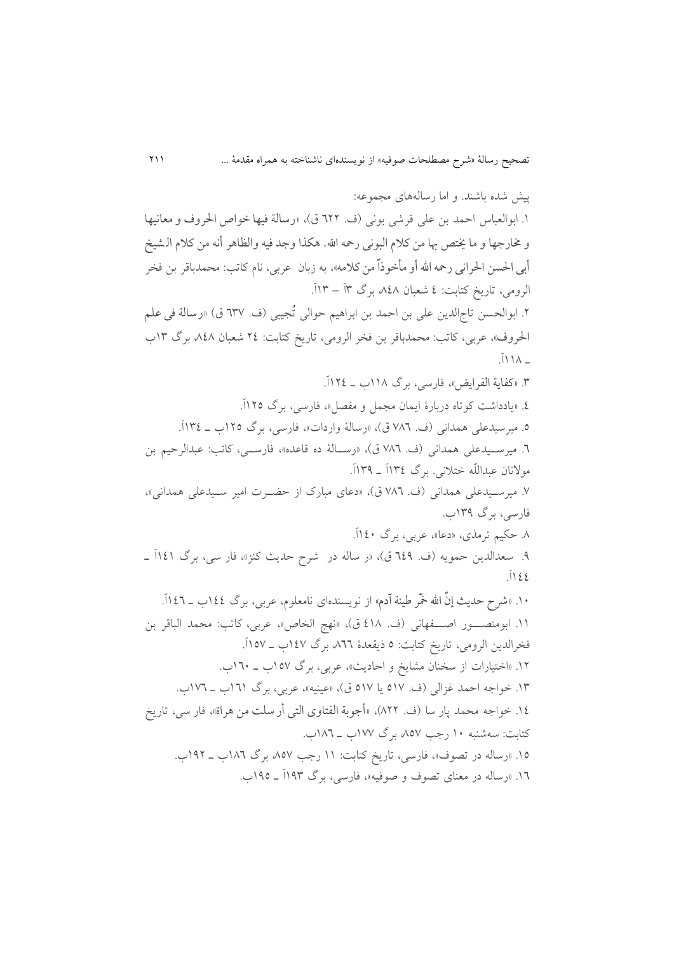پیا شده باشند. و اما رسالههای مجموعه: ۱. ابوالعباس احمد بن علی قرشی بونی (ف. ٦٢٢ ق)، «رسالة فیها خواص الحروف و معانیها و خمارجها و ما خیتص هبا من کالم البونی رمحه اهلل. هکذا وجد فیه والظاهر أنه من کالم ال شیخ أبی الحسن الحرانی رحمه الله أو مأخوذاً من کلامه»، به زبان عربی، نام کاتب: محمدباقر بن فخر الرومی، تاريخ کتابت: 0 شعبان ،101 برگ 9آ – 89آ. ۲. ابوالحسن تاجالدين علی بن احمد بن ابراهیم حوالی تُجيبی (ف. ٦٣٧ ق) «رسالة في علم الحروف»، عربی، کاتب: محمدباقر بن فخر الرومی، تاريخ کتابت: ٢٤ شعبان ٨٤٨ برگ ١٣ب  $\overline{N}$ .9 »کفایة الفرایض«، فارسی، برگ 881 ل 800آ. .0 »يادداشت کوتاه دربارۀ ايمان مجمل و مفصل«، فارسی، برگ 805آ. .5 میرسیدعلی همدانی )ف. 514 ق(، »رسالۀ واردات«، فارسی، برگ 805 ل 890آ. .4 میرسللیدعلی همدانی )ف. 514 ق(، »رسللالۀ ده قاعده«، فارسللی، کاتب: عبدالرحیم بن مولانان عبداللّه ختلانی. برگ ١٣٤ق ـ ١٢٩آ. .5 میرسلیدعلی همدانی )ف. 514 ق(، »دعای مبارک از حضلرت امیر سلیدعلی همدانی«، فارسی، برگ 899 . .1 حکیم ترمذی، »دعا«، عربی، برگ 801آ. ۹. سعدالدين حمويه (ف. ٦٤٩ ق)، «ر ساله در شرح حديث کنز»، فار سي، برگ ١٤١آ \_  $\sqrt{122}$ ۱۰. «شرح حدیث إنّ الله خمّر طینة آدم» از نویسندهای نامعلوم، عربی، برگ ١٤٤(ب ـ ١٤٦آ. ١١. ابومنصــور اصــفهانی (ف. ٤١٨ ق)، «نهج الخاص»، عربی، کاتب: محمد الباقر بن فخرالدين الرومي، تاريخ كتابت: ٥ ذيقعدۀ ٨٦٦. برگ ١٤٧ب ـ ١٥٧آ. ۱۲. «اختیارات از سخنان مشايخ و احاديث»، عربی، برگ ۱۵۷ب \_ ۱۳۰ب. ۱۳. خواجه احمد غزالی (ف. ۵۱۷ يا ۵۱۷ ق)، «عینیه»، عربی، برگ ۱۳۱ب ـ ۱۷۲ب. .80 خواجه محمد پار سا )ف. 100(، »أجوبة الفتاوی التی أر سلت من هراة«، فار سی ، تاريخ کتابت: سهشنبه ۱۰ رجب ۵۷۷ برگ ۱۷۷ب ـ ۱۸٦ب. ۱۵. «رساله در تصوف»، فارسی، تاريخ کتابت: ۱۱ رجب ۸۵۷ برگ ۱۸۲ب ـ ۱۹۲ب. .84 »رساله در معنای تصوف و صوفیه«، فارسی، برگ 899آ ل 895 .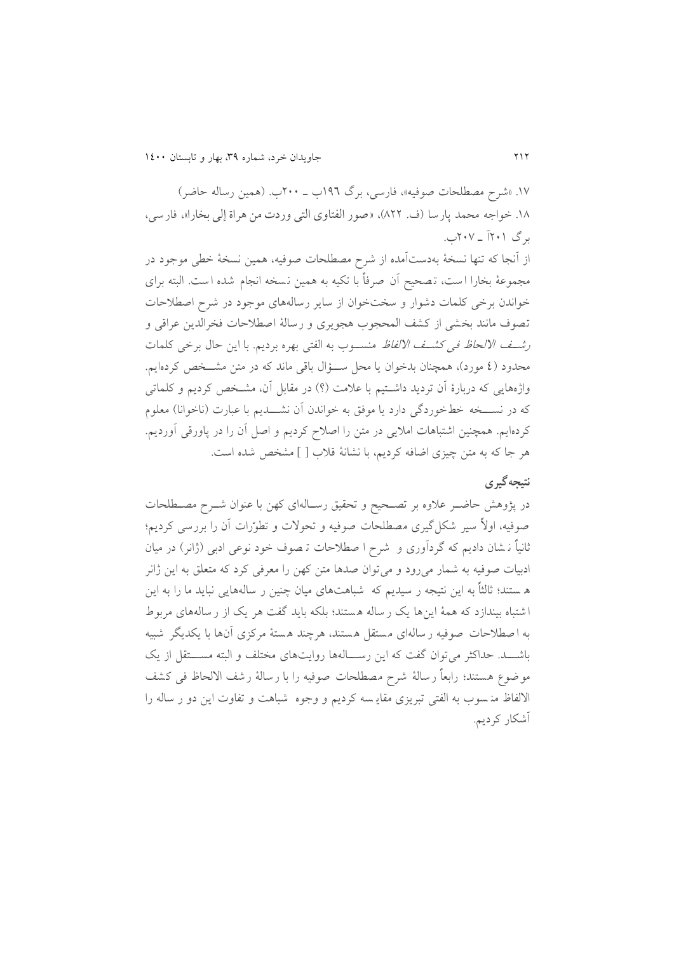۱۷. «شرح مصطلحات صوفیه»، فارسی، برگ ۱۹۲ ب - ۲۰۰ ل. (همین رساله حاضر) .81 خواجه محمد پارسا )ف. 100(، »صور الفتاوی التی وردت من هراة إلی بخارا«، فارسی ، برگ ۲۰۱آ - ۲۰۷آ.

از آنجا که تنها نسخۀ بهدستآمده از شرح مصطلحات صوفیه، همین نسخۀ خطی موجود در مجموعۀ بخارا ا ست، تـصحیح آن صرفاً با تکیه به همین نسخه انجام شده ا ست. البته برای خواندن برخی کلمات دشوار و سدت خوان از ساير رساله های موجود در شرح اصطالحات تصوف مانند بخشي از كشف المحجوب هجويري و رسالۀ اصطلاحات فخرالدين عراقي و ر*شف الالحاظ فی کشف الالفاظ* منســوب به الفتی بهره برديم. با اين حال برخی کلمات محدود (٤ مورد)، همچنان بدخوان يا محل سؤال باقی ماند که در متن مشــخص کردهايم. واژههايی که دربارۀ آن ترديد داشتيم با علامت (؟) در مقابل آن، مشـخص کرديم و کلماتی که در نســـخه خطخوردگی دارد يا موفق به خواندن آن نشــــديم با عبارت (ناخوانا) معلوم کردهايم. همچنین اشتباهات اماليی در متن را اصالح کرديم و اصل آن را در پاورقی آورديم. هر جا که به متن چیزی اضافه کردیم، با نشانۀ قلاب [ ] مشخص شده است.

## **نتیجهگیری**

در پژوهش حاضـر علاوه بر تصـحیح و تحقیق رسـالهای کهن با عنوان شــرح مصــطلحات صوفیه، اولاً سیر شکل گیری مصطلحات صوفیه و تحولات و تطورات آن را بررسی کردیم؛ ثانیاً ن شان دادیم که گردآوری و شرح ا صطلاحات تـصوف خود نوعی ادبی (ژانر) در میان ادبیات صوفیه به شمار میرود و میتوان صدها متن کهن را معرفی کرد که متعلق به اين ژانر ه ستند ؛ ثالثا به اين نتیجه ر سیديم که شباهت های میان چنین ر ساله هايی نبايد ما را به اين ا شتباه بی ندازد که همۀ اينها يک ر ساله ه ستند؛ بلکه بايد گفت هر يک از ر ساله های مربوط به ا صطلاحات صوفیه ر سالهای مستقل هستند، هرچند هستۀ مرکزی آنها با یکدیگر شبیه باشـــد. حداکثر می توان گفت که اين رســـالهها روايتهای مختلف و البته مســـتقل از يک موضوع هستند؛ رابعاً رسالۀ شرح مصطلحات صوفیه را با رسالۀ رشف الالحاظ فی کشف الالفاظ من سوب به الفتی تبريزی مقايـ سه کرديم و وجوه شباهت و تفاوت اين دو ر ساله را آشکار کرديم.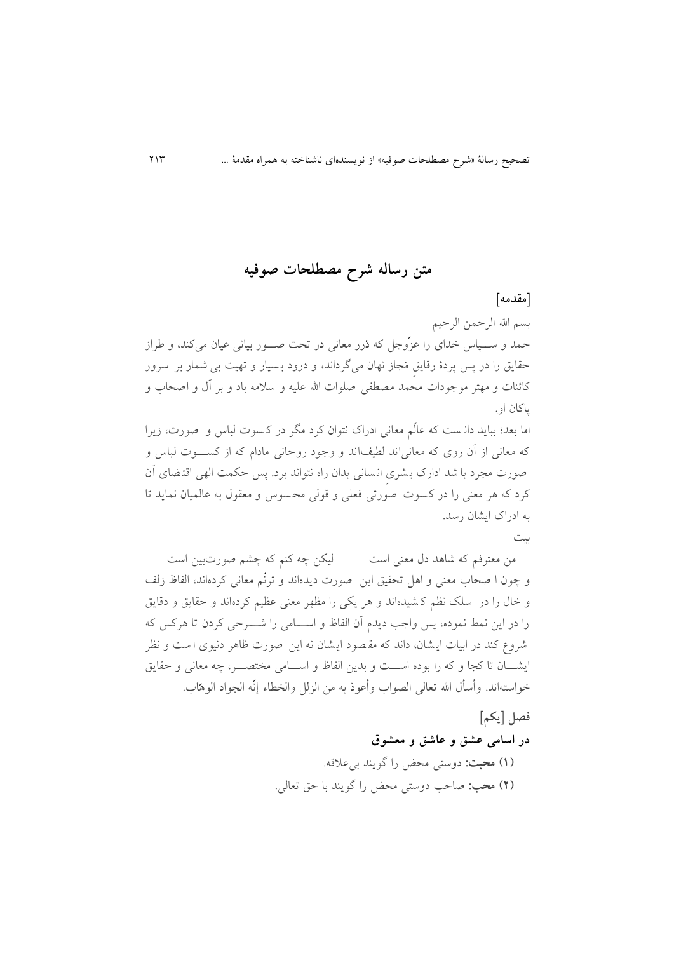## **متن رساله شرح مصطلحات صوفیه**

#### **]مقدمه[**

بسم الله الرحمن الرحیم حمد و ســـپاس خدای را عزّوجل که دُرر معانی در تحت صـــور بیانی عیان میکند، و طراز حقايق را در پس پردۀ رقايق مَجاز نهان میگرداند، و درود بسيار و تهيت بی شمار بر سرور کائنات و مهتر موجودات محمد مصطفی صلوات الله علیه و سلامه باد و بر آل و اصحاب و پاکان او.

اما بعد؛ ببايد دانست که عالَم معانی ادراک نتوان کرد مگر در کسوت لباس و صورت، زيرا که معانی از آن روی که معانی اند لطیف اند و وجود روحانی مادام که از کســــوت لباس و صورت مجرد با شد ادارک بشری انسانی بدان راه نتواند برد. پس حکمت الهی اقتضای آن کرد که هر معنی را در ک سوت صورتی فعلی و قولی مح سوس و معقول به عالمیان نمايد تا به ادراک ایشان رسد.

بیت

من معترفم که شاهد دل معنی است مسلم لیکن چه کنم که چشم صورتبین است و چون ا صحاب معنی و اهل تحقیق این صورت دیدهاند و ترنّم معانی کردهاند، الفاظ زلف و خال را در سلک نظم کشیدهاند و هر يکی را مظهر معنی عظیم کردهاند و حقايق و دقايق را در اين نمط نموده، پس واجب ديدم آن الفاظ و اســـامی را شــــرحی کردن تا هرکس که شروع کند در ابيات ايـشان، داند که مقـصود ايـشان نه اين صورت ظاهر دنيوی ا ست و نظر ايشــان تا کجا و که را بوده اســـت و بدين الفاظ و اســـامی مختصـــر، چه معانی و حقايق خواستهاند. وأسأل الله تعالی الصواب وأعوذ به من الزلل والخطاء إنّه الجواد الوهاب.

> **فصل ]یکم[ در اسامی عشق و عاشق و معشوق )0( محبت:** دوستی محض را گويند بیعالقه. **)2( محب:** صاحب دوستی محض را گويند با حق تعالی.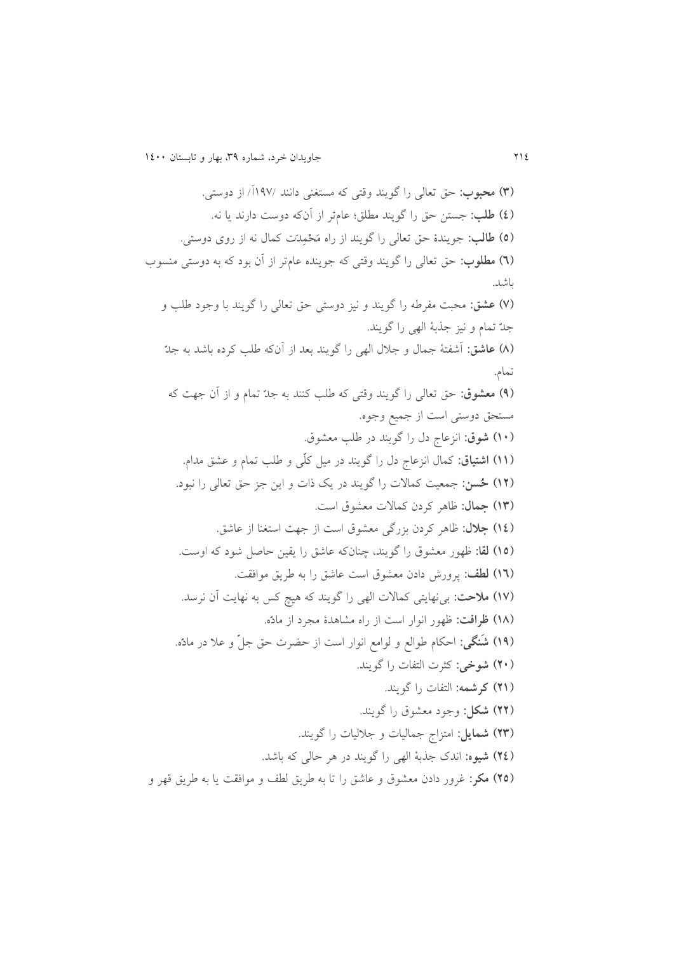**)9( محبوب:** حق تعالی را گويند وقتی که مستغنی دانند 895/آ/ از دوستی. **)0( طلب:** جستن حق را گويند مطلق؛ عامتر از آنکه دوست دارند يا نه. (٥) طالب: جويندۀ حق تعال<sub>ی ر</sub>ا گويند از راه مَحْمِد*َت* کمال نه از روی دوستی. **)6( مطلوب:** حق تعالی را گويند وقتی که جوينده عامتر از آن بود که به دوستی منسو باشد. **)1( عشق:** محبت مفرله را گويند و نیز دوستی حق تعالی را گويند با وجود للب و جد تمام و نیز جذبۀ الهی را گويند. **)8( عاشق:** آشفتۀ جمال و جالل الهی را گويند بعد از آنکه للب کرده باشد به جد تمام. **)3( معشوق:** حق تعالی را گويند وقتی که للب کنند به جد تمام و از آن جهت که مستحق دوستی است از جمیع وجوه. **)01( شوق:** انزعا دل را گويند در للب مع.وق. **)00( اشتیاق:** کمال انزعا دل را گويند در میل کل ی و للب تمام و ع.ق مدام. **)02 ( ح سن:** جمعیت کماالت را گويند در يک ذات و اين جز حق تعالی را نبود. **)09( جمال:** ظاهر کردن کماالت مع.وق است. **)00( جالل:** ظاهر کردن بزرگی مع.وق است از جهت استغنا از عاشق. **)02( لقا:** ظهور مع.وق را گويند، چنانکه عاشق را يقین حاصل شود که اوست. **)06( لطف:** پرورش دادن مع.وق است عاشق را به لريق موافقت. **)01( مالحت:** بینهايتی کماالت الهی را گويند که هیه کس به نهايت آن نرسد. (۱۸) ظرافت: ظهور انوار است از راه مشاهدۀ مجرد از مادّه. **)03 ( ش نگی:** احکام لوالع و لوامع انوار است از حضرت حق جل و عال در ماد ه. **)21( شوخی:** کثرت التفات را گويند. **)20( کرشمه:** التفات را گويند. **)22( شکل:** وجود مع.وق را گويند. **)29( شمایل:** امتزا جمالیات و جاللیات را گويند. **)20( شیوه:** اندک جذبۀ الهی را گويند در هر حالی که باشد. (٢٥) مکر: غرور دادن معشوق و عاشق را تا به طريق لطف و موافقت يا به طريق قهر و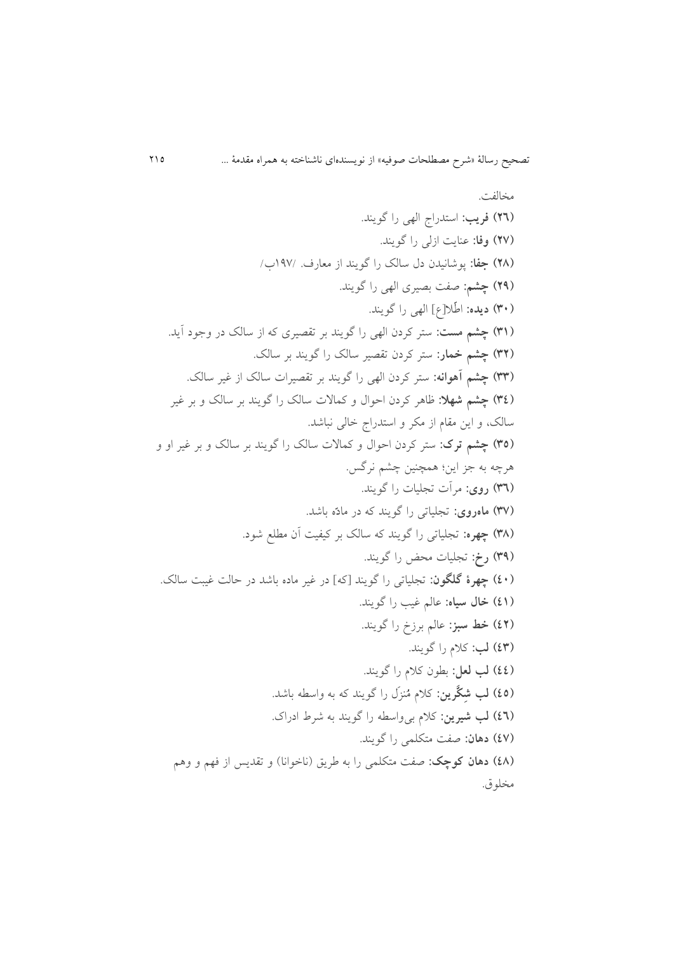مدالفت. **)26( فریب:** استدرا الهی را گويند. **)21( وفا:** عنايت ازلی را گويند. **)28( جفا:** پوشانیدن دل سالک را گويند از معارف. 895/ / **)23( چشم:** صفت بصیری الهی را گويند. **)91( دیده:** ال ال]و[ الهی را گويند. **)90( چشم مست:** ستر کردن الهی را گويند بر تقصیری که از سالک در وجود آيد. **)92( چشم خمار:** ستر کردن تقصیر سالک را گويند بر سالک. **)99( چشم آهوانه:** ستر کردن الهی را گويند بر تقصیرات سالک از غیر سالک. **)90( چشم شهال:** ظاهر کردن احوال و کماالت سالک را گويند بر سالک و بر غیر سالک، و اين مقام از مکر و استدرا خالی نباشد. **)92( چشم ترک:** ستر کردن احوال و کماالت سالک را گويند بر سالک و بر غیر او و هرچه به جز اين؛ همچنین چ.م نرگس. **)96( روی:** مرآت تجلیات را گويند. **)91( ماهروی:** تجلیاتی را گويند که در ماد ه باشد. **)98( چهره:** تجلیاتی را گويند که سالک بر کیفیت آن مطلع شود. **)93( رخ:** تجلیات محض را گويند. **)01( چهرۀ گلگون:** تجلیاتی را گويند ]که[ در غیر ماده باشد در حالت غیبت سالک. **)00( خال سیاه:** عالم غیب را گويند. **)02( خط سبز:** عالم برزخ را گويند. **)09( لب:** کالم را گويند. **)00( لب لعل:** بطون کالم را گويند. **)02( لب ش ک رین:** کالم م نز ل را گويند که به واسطه باشد. **)06( لب شیرین:** کالم بیواسطه را گويند به شرط ادراک. **)01( دهان:** صفت متکلمی را گويند. **)08( دهان کوچک:** صفت متکلمی را به لريق )ناخوانا( و تقديس از فهم و وهم مدلوق.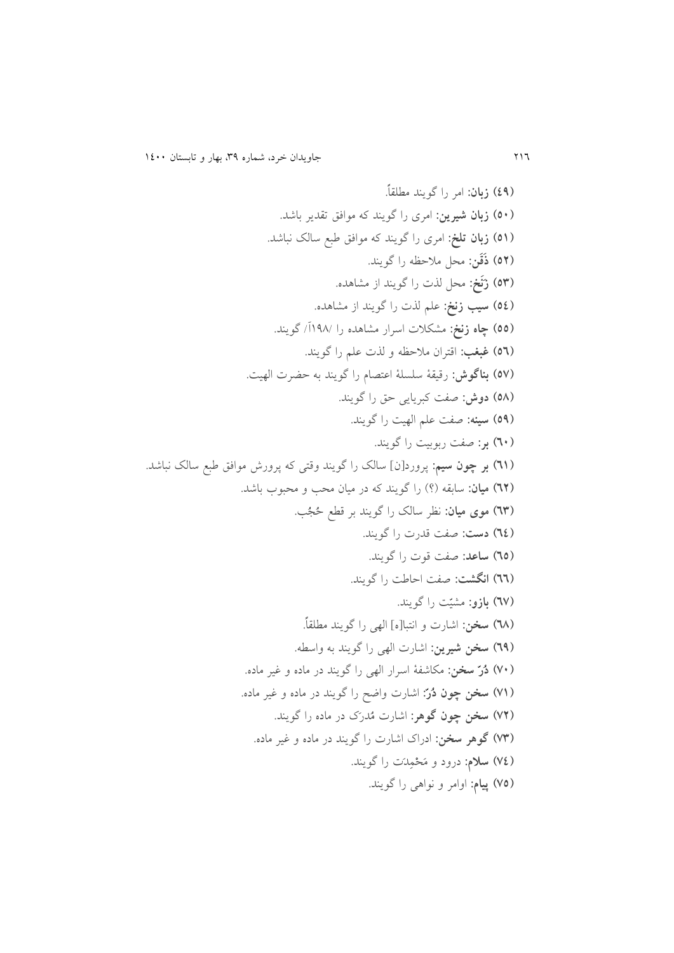**)03( زبان:** امر را گويند مطلقا . **)21( زبان شیرین:** امری را گويند که موافق تقدير باشد. **)20( زبان تلخ:** امری را گويند که موافق لبع سالک نباشد. **)22( ذ ق ن:** محل مالحظه را گويند. **)29( ز ن خ:** محل لذت را گويند از م.اهده. **)20( سیب زنخ:** علم لذت را گويند از م.اهده. **)22( چاه زنخ:** م.کالت اسرار م.اهده را 891/آ/ گويند. **)26( غبغب:** اقتران مالحظه و لذت علم را گويند. **)21( بناگوش:** رقیقۀ سلسلۀ اعتصام را گويند به حضرت الهیت. **)28( دوش:** صفت کبريايی حق را گويند. **)23( سینه:** صفت علم الهیت را گويند. **)61( بر:** صفت ربوبیت را گويند. **)60( بر چون سیم:** پرورد]ن[ سالک را گويند وقتی که پرورش موافق لبع سالک نباشد. **)62( میان:** سابقه )؟( را گويند که در میان محب و محبو باشد. **)69( موی میان:** نظر سالک را گويند بر قطع ح ج ب. **)60( دست:** صفت قدرت را گويند. **)62( ساعد:** صفت قوت را گويند. **)66( انگشت:** صفت احالت را گويند. **)61( بازو:** م.ی ت را گويند. **)68( سخن:** اشارت و انتبا]ه[ الهی را گويند مطلقا . **)63( سخن شیرین:** اشارت الهی را گويند به واسطه. **)11( د ر سخن:** مکاشفۀ اسرار الهی را گويند در ماده و غیر ماده. **)10( سخن چون د ر :** اشارت واضح را گويند در ماده و غیر ماده. **)12( سخن چون گوهر:** اشارت م در ک در ماده را گويند. **)19( گوهر سخن:** ادراک اشارت را گويند در ماده و غیر ماده. **)10( سالم:** درود و م ح م د ت را گويند. **)12( پیام:** اوامر و نواهی را گويند.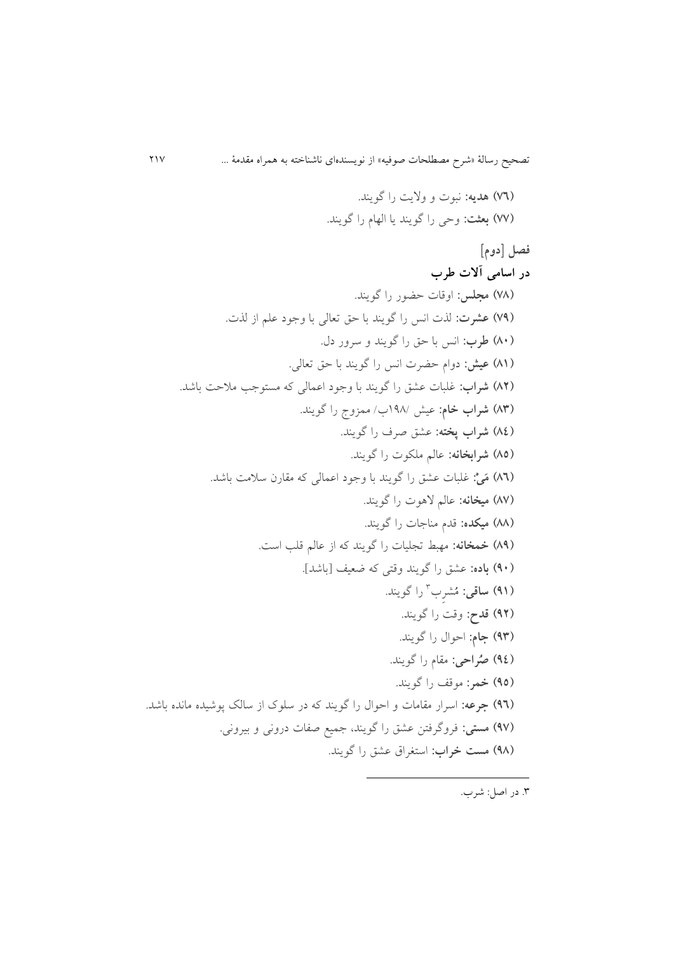**)16( هدیه:** نبوت و واليت را گويند. **)11( بعثت:** وحی را گويند يا الهام را گويند. **فصل ]دوم[ در اسامی آالت طرب )18( مجلس:** اوقات حضور را گويند. **)13( عشرت:** لذت انس را گويند با حق تعالی با وجود علم از لذت. **)81( طرب:** انس با حق را گويند و سرور دل. **)80( عیش:** دوام حضرت انس را گويند با حق تعالی. **)82( شراب:** غلبات ع.ق را گويند با وجود اعمالی که مستوجب مالحت باشد. **)89( شراب خام:** عیا 891/ / ممزو را گويند. **)80( شراب پخته:** ع.ق صرف را گويند. **)82( شرابخانه:** عالم ملکوت را گويند. **)86( م ی :** غلبات ع.ق را گويند با وجود اعمالی که مقارن سالمت باشد. **)81( میخانه:** عالم الهوت را گويند. **)88( میکده:** قدم مناجات را گويند. **)83( خمخانه:** مهبط تجلیات را گويند که از عالم قلب است. **)31( باده:** ع.ق را گويند وقتی که ضعیف ]باشد[. **)30( ساقی:** م .ر 9 را گويند. **)32( قدح:** وقت را گويند. **)39( جام:** احوال را گويند. **)30( ص راحی:** مقام را گويند. **)32( خمر:** موقف را گويند. **)36( جرعه:** اسرار مقامات و احوال را گويند که در سلوک از سالک پوشیده مانده باشد. **)31( مستی:** فروگرفتن ع.ق را گويند، جمیع صفات درونی و بیرونی. **)38( مست خراب:** استغراق ع.ق را گويند.

1

.9 در اصل: شر .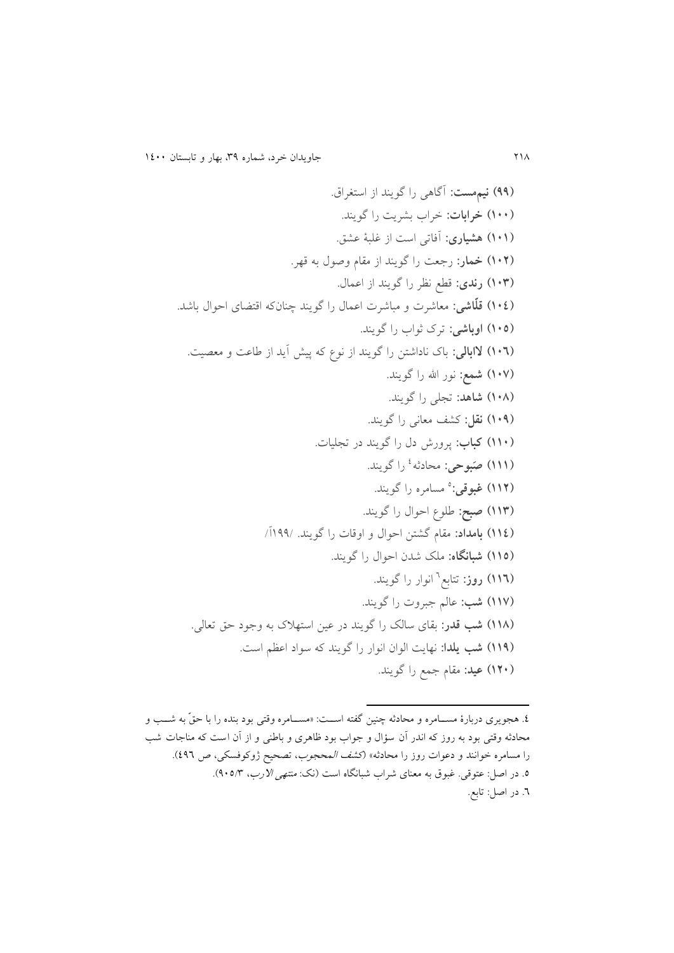**)33( نیممست:** آگاهی را گويند از استغراق. **)011( خرابات:** خرا ب.ريت را گويند. **)010( هشیاری:** آفاتی است از غلبۀ ع.ق. **)012( خمار:** رجعت را گويند از مقام وصول به قهر. **)019( رندی:** قطع نظر را گويند از اعمال. **)010( قل اشی:** معاشرت و مباشرت اعمال را گويند چنانکه اقتضای احوال باشد. **)012( اوباشی:** ترک ثوا را گويند. **)016( الابالی:** باک ناداشتن را گويند از نوو که پیا آيد از لاعت و معصیت. **)011( شمع:** نور اهلل را گويند. **)018( شاهد:** تجلی را گويند. **)013( نقل:** ک.ف معانی را گويند. **)001( کباب:** پرورش دل را گويند در تجلیات. **)000( ص بوحی:** محادثه 0 را گويند. **)002( غبوقی:** 5 مسامره را گويند. **)009( صبح:** للوو احوال را گويند. **)000( بامداد:** مقام گ.تن احوال و اوقات را گويند. 899/آ/ **)002( شبانگاه:** ملک شدن احوال را گويند. **)006( روز:** تتابع 4 انوار را گويند. **)001( شب:** عالم جبروت را گويند. **)008( شب قدر:** بقای سالک را گويند در عین استهالک به وجود حق تعالی. **)003( شب یلدا:** نهايت الوان انوار را گويند که سواد اعظم است. **)021( عید:** مقام جمع را گويند.

**.** 

<sup>8.</sup> هجويری دربارۀ مســـامره و محادثه چنين گفته اســـت: «مســـامره وقتى بود بنده را با حق به شـــب و محادثه وقتى بود به روز که اندر آن سؤال و جواب بود ظاهرى و باطنى و از آن است که مناجات شب را مسامره خوانند و دعوات روز را محادثه» (*کشف المحجوب*، تصحیح ژوکوفسکی، ص ٤٩٦). . در اصل: عتوقی. غبوق به معنای شراب شبانگاه است (نک: *منتهی الآرب*، ۹۰۵/۳). .4 در اصل: تابع.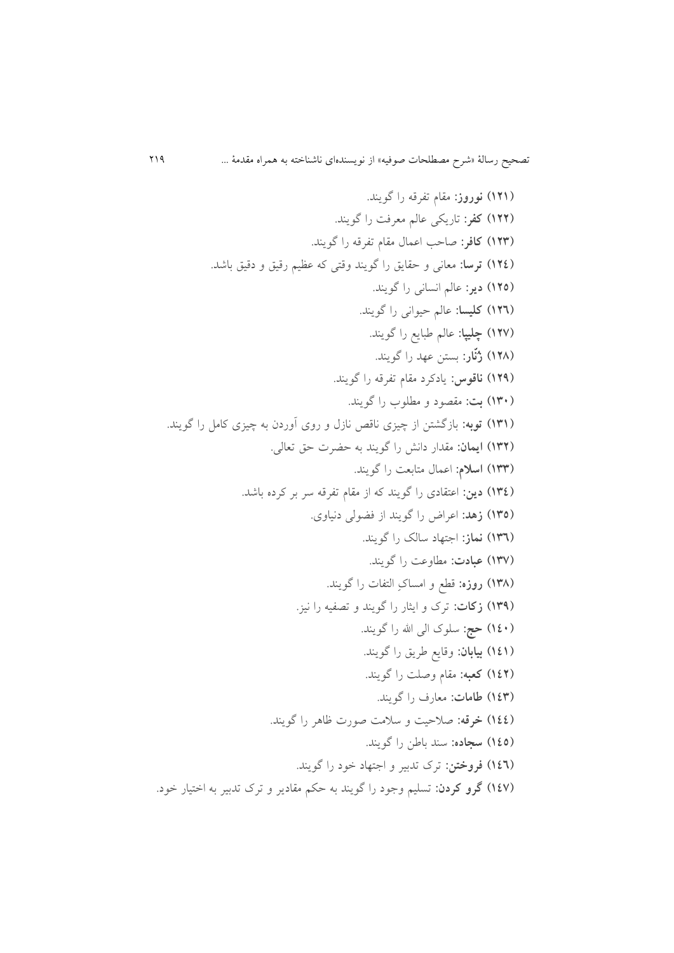**)020( نوروز:** مقام تفرقه را گويند. **)022( کفر:** تاريکی عالم معرفت را گويند. **)029( کافر:** صاحب اعمال مقام تفرقه را گويند. **)020( ترسا:** معانی و حقايق را گويند وقتی که عظیم رقیق و دقیق باشد. **)022( دیر:** عالم انسانی را گويند. **)026( کلیسا:** عالم حیوانی را گويند. **)021( چلیپا:** عالم لبايع را گويند. **)028( ز ن ار:** بستن عهد را گويند. **)023( ناقوس:** يادکرد مقام تفرقه را گويند. **)091( بت:** مقصود و مطلو را گويند. **)090( توبه:** بازگ.تن از چیزی ناقص نازل و روی آوردن به چیزی کامل را گويند. **)092( ایمان:** مقدار دانا را گويند به حضرت حق تعالی. **)099( اسالم:** اعمال متابعت را گويند. **)090( دین:** اعتقادی را گويند که از مقام تفرقه سر بر کرده باشد. **)092( زهد:** اعراض را گويند از فضولی دنیاوی. **)096( نماز:** اجتهاد سالک را گويند. **)091( عبادت:** مطاوعت را گويند. **)098( روزه:** قطع و امساک التفات را گويند. **)093( زکات:** ترک و ايثار را گويند و تصفیه را نیز. **)001( حج:** سلوک الی اهلل را گويند. **)000( بیابان:** وقايع لريق را گويند. **)002( کعبه:** مقام وصلت را گويند. **)009( طامات:** معارف را گويند. **)000( خرقه:** صالحیت و سالمت صورت ظاهر را گويند. **)002( سجاده:** سند بالن را گويند. **)006( فروختن:** ترک تدبیر و اجتهاد خود را گويند. **)001( گرو کردن:** تسلیم وجود را گويند به حکم مقادير و ترک تدبیر به اختیار خود.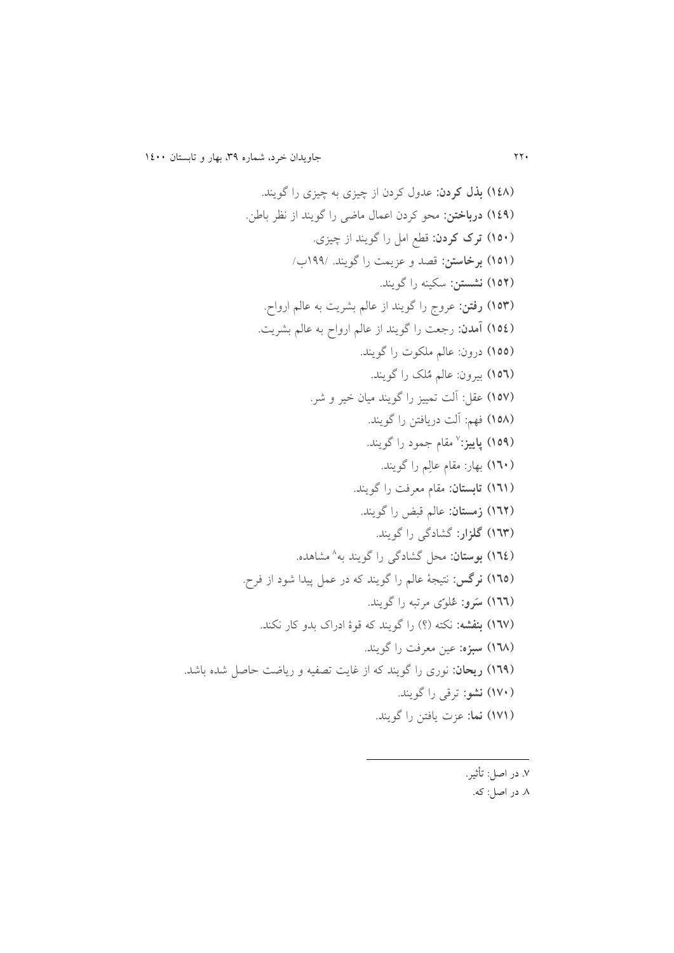**)008( بذل کردن:** عدول کردن از چیزی به چیزی را گويند. **)003( درباختن:** محو کردن اعمال ماضی را گويند از نظر بالن. **)021( ترک کردن:** قطع امل را گويند از چیزی. **)020( برخاستن:** قصد و عزيمت را گويند. 899/ / **)022( نشستن:** سکینه را گويند. **)029( رفتن:** عرو را گويند از عالم ب.ريت به عالم ارواح. **)020( آمدن:** رجعت را گويند از عالم ارواح به عالم ب.ريت. **)022(** درون: عالم ملکوت را گويند. **)026(** بیرون: عالم م لک را گويند. **)021(** عقل: آلت تمییز را گويند میان خیر و شر. **)028(** فهم: آلت دريافتن را گويند. **)023( پاییز:** 5 مقام جمود را گويند. **)061(** بهار: مقام عال م را گويند. **)060( تابستان:** مقام معرفت را گويند. **)062( زمستان:** عالم قبض را گويند. **)069( گلزار:** گ.ادگی را گويند. **)060( بوستان:** محل گ.ادگی را گويند به 1 م.اهده. **)062( نرگس:** نتیجۀ عالم را گويند که در عمل پیدا شود از فرح. **)066( س رو:** ع لو ی مرتبه را گويند. **)061( بنفشه:** نکته )؟( را گويند که قوۀ ادراک بدو کار نکند. **)068( سبزه:** عین معرفت را گويند. **)063( ریحان:** نوری را گويند که از غايت تصفیه و رياضت حاصل شده باشد. **)011( نشو:** ترقی را گويند. **)010( نما:** عزت يافتن را گويند.

1

.5 در اصل: تأثیر.

.1 در اصل: که.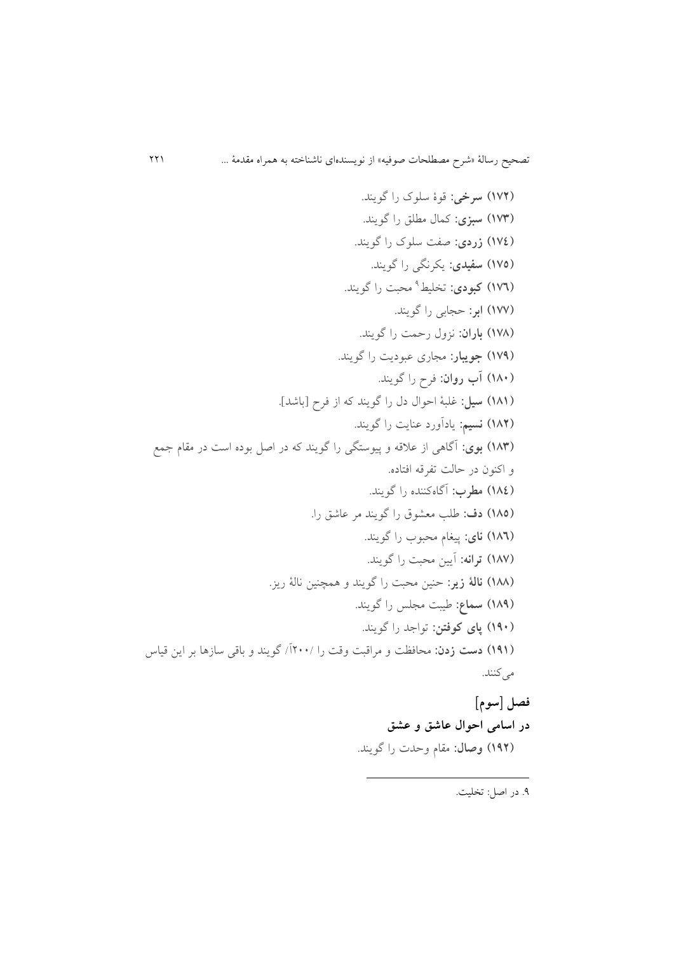**)012( سرخی:** قوۀ سلوک را گويند. **)019( سبزی:** کمال مطلق را گويند. **)010( زردی:** صفت سلوک را گويند. **)012( سفیدی:** يکرنگی را گويند. **)016( کبودی:** تدلیط 9 محبت را گويند. **)011( ابر:** حجابی را گويند. **)018( باران:** نزول رحمت را گويند. **)013( جویبار:** مجاری عبوديت را گويند. **)081( آب روان:** فرح را گويند. **)080( سیل:** غلبۀ احوال دل را گويند که از فرح ]باشد[. **)082( نسیم:** يادآورد عنايت را گويند. **)089( بوی:** آگاهی از عالقه و پیوستگی را گويند که در اصل بوده است در مقام جمع و اکنون در حالت تفرقه افتاده. **)080( مطرب:** آگاهکننده را گويند. **)082( دف:** للب مع.وق را گويند مر عاشق را. **)086( نای:** پیغام محبو را گويند. **)081( ترانه:** آيین محبت را گويند. **)088( نالۀ زیر:** حنین محبت را گويند و همچنین نالۀ ريز. **)083( سماع:** لیبت مجلس را گويند. **)031( پای کوفتن:** تواجد را گويند. **)030( دست زدن:** محافظت و مراقبت وقت را 011/آ/ گويند و باقی سازها بر اين قیاس میکنند.

**فصل ]سوم[ در اسامی احوال عاشق و عشق )032( وصال:** مقام وحدت را گويند.

1

.9 در اصل: تدلیت.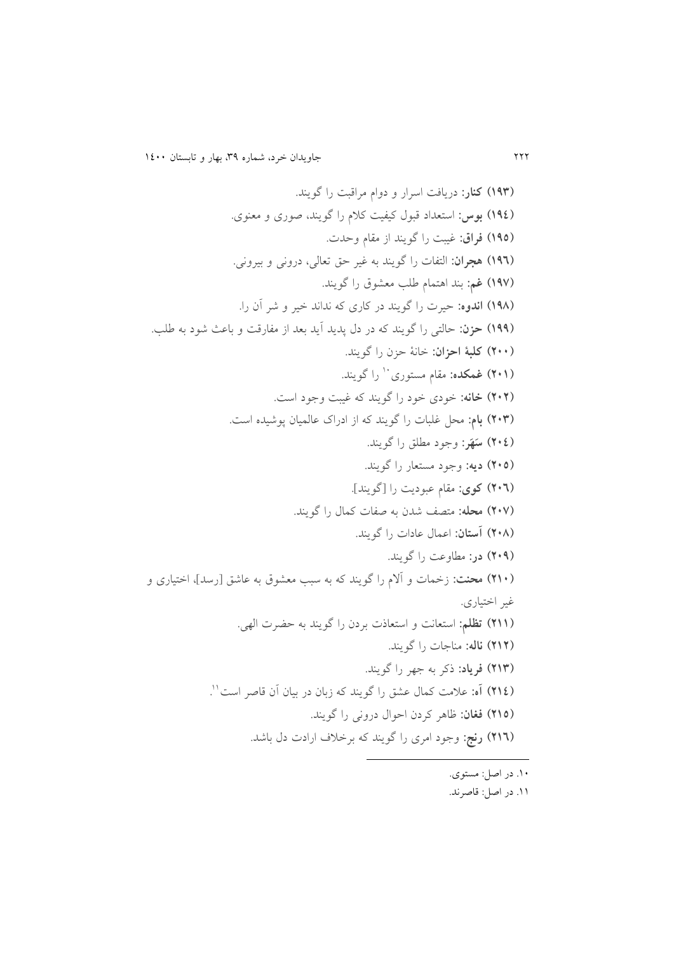**)039( کنار:** دريافت اسرار و دوام مراقبت را گويند. **)030( بوس:** استعداد قبول کیفیت کالم را گويند، صوری و معنوی. **)032( فراق:** غیبت را گويند از مقام وحدت. **)036( هجران:** التفات را گويند به غیر حق تعالی، درونی و بیرونی. **)031( غم:** بند اهتمام للب مع.وق را گويند. **)038( اندوه:** حیرت را گويند در کاری که نداند خیر و شر آن را. **)033( حزن:** حالتی را گويند که در دل پديد آيد بعد از مفارقت و باعث شود به للب. **)211( کلبۀ احزان:** خانۀ حزن را گويند. **)210( غمکده:** مقام مستوری را گويند. <sup>81</sup> **)212( خانه:** خودی خود را گويند که غیبت وجود است. **)219( بام:** محل غلبات را گويند که از ادراک عالمیان پوشیده است. **)210( س ه ر:** وجود مطلق را گويند. **)212( دیه:** وجود مستعار را گويند. **)216( کوی:** مقام عبوديت را ]گويند[. **)211( محله:** متصف شدن به صفات کمال را گويند. **)218( آستان:** اعمال عادات را گويند. **)213( در:** مطاوعت را گويند. **)201( محنت:** زخمات و آالم را گويند که به سبب مع.وق به عاشق ]رسد[، اختیاری و غیر اختیاری. **)200( تظلم:** استعانت و استعاذت بردن را گويند به حضرت الهی. **)202( ناله:** مناجات را گويند. **)209( فریاد:** ذکر به جهر را گويند. **)200( آه:** عالمت کمال ع.ق را گويند که زبان در بیان آن قاصر است 88 . **)202( فغان:** ظاهر کردن احوال درونی را گويند. **)206( رنج:** وجود امری را گويند که برخالف ارادت دل باشد. 

- .81 در اصل: مستوی.
- .88 در اصل: قاصرند.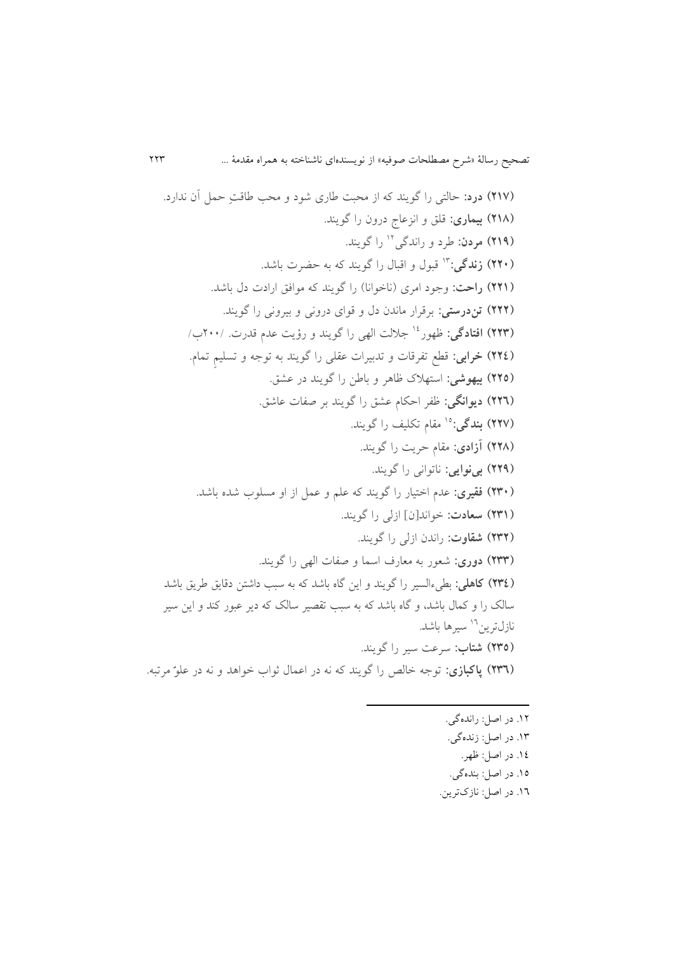**)201( درد:** حالتی را گويند که از محبت لاری شود و محب لاقت حمل آن ندارد. **)208( بیماری:** قلق و انزعا درون را گويند. **)203( مردن:** لرد و راندگی را گويند. <sup>80</sup> **)221( زندگی:** قبول و اقبال را گويند که به حضرت باشد. <sup>89</sup> **)220( راحت:** وجود امری )ناخوانا( را گويند که موافق ارادت دل باشد. **)222( تندرستی:** برقرار ماندن دل و قوای درونی و بیرونی را گويند. **)229( افتادگی:** ظهور جاللت الهی را گويند و رؤيت عدم قدرت. 011/ / <sup>80</sup> **)220( خرابی:** قطع تفرقات و تدبیرات عقلی را گويند به توجه و تسلیم تمام. **)222( بیهوشی:** استهالک ظاهر و بالن را گويند در ع.ق. **)226( دیوانگی:** ظفر احکام ع.ق را گويند بر صفات عاشق. **)221( بندگی:** مقام تکلیف را گويند. <sup>85</sup> **)228( آزادی:** مقام حريت را گويند. **)223( بینوایی:** ناتوانی را گويند. **)291( فقیری:** عدم اختیار را گويند که علم و عمل از او مسلو شده باشد. **)290( سعادت:** خواند]ن[ ازلی را گويند. **)292( شقاوت:** راندن ازلی را گويند. **)299( دوری:** شعور به معارف اسما و صفات الهی را گويند. **)290( کاهلی:** بطیهالسیر را گويند و اين گاه باشد که به سبب داشتن دقايق لريق باشد سالک را و کمال باشد، و گاه باشد که به سبب تقصیر سالک که دير عبور کند و اين سیر سیرها باشد. <sup>84</sup> نازلترين **)292( شتاب:** سرعت سیر را گويند. **)296( پاکبازی:** توجه خالص را گويند که نه در اعمال ثوا خواهد و نه در علو مرتبه.

**.** 

.80 در اصل: راندهگی. .89 در اصل: زندهگی. .80 در اصل: ظهر. .85 در اصل: بندهگی. .84 در اصل: نازکترين.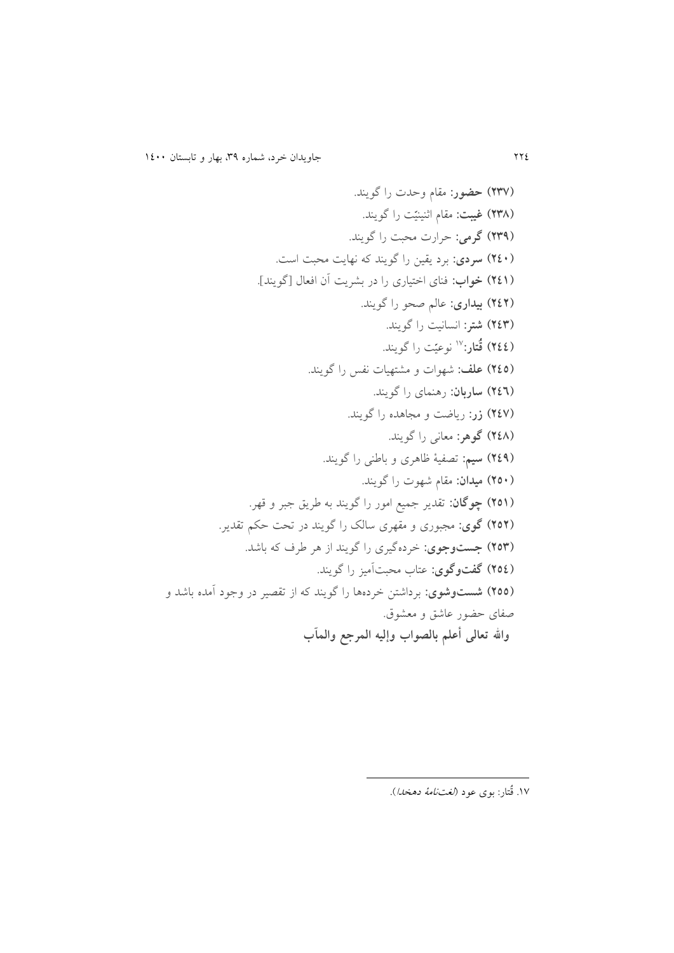**)291( حضور:** مقام وحدت را گويند. **)298( غیبت:** مقام اثنینی ت را گويند. **)293( گرمی:** حرارت محبت را گويند. **)201( سردی:** برد يقین را گويند که نهايت محبت است. **)200( خواب:** فنای اختیاری را در ب.ريت آن افعال ]گويند[. **)202( بیداری:** عالم صحو را گويند. **)209( شتر:** انسانیت را گويند. **)200( ق تار:** نوعی ت را گويند. <sup>85</sup> **)202( علف:** شهوات و م.تهیات نفس را گويند. **)206( ساربان:** رهنمای را گويند. **)201( زر:** رياضت و مجاهده را گويند. **)208( گوهر:** معانی را گويند. **)203( سیم:** تصفیۀ ظاهری و بالنی را گويند. **)221( میدان:** مقام شهوت را گويند. **)220( چوگان:** تقدير جمیع امور را گويند به لريق جبر و قهر. **)222( گوی:** مجبوری و مقهری سالک را گويند در تحت حکم تقدير. **)229( جستوجوی:** خردهگیری را گويند از هر لرف که باشد. **)220( گفتوگوی:** عتا محبتآمیز را گويند. **)222( شستوشوی:** برداشتن خردهها را گويند که از تقصیر در وجود آمده باشد و صفای حضور عاشق و مع.وق. **واالله تعالی أعلم بالصواب وإلیه المرجع والمآب**

1

<sup>.&</sup>lt;br>۱۷ قٌتار: بوی عود *(لغتنامۀ دهخدا).*